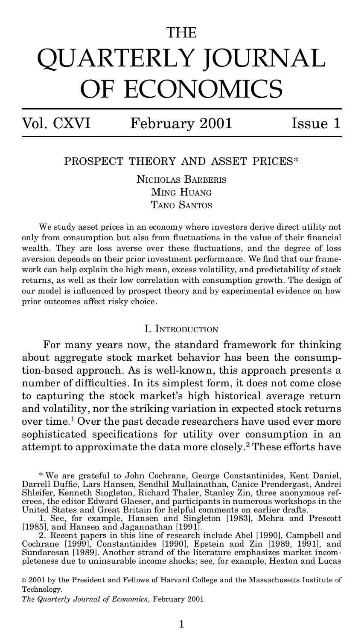# **THE** QUARTERLY JOURNAL OF ECONOMICS

## Vol. CXVI February 2001 Issue 1

#### PROSPECT THEORY AND ASSET PRICES\*

NICHOLAS BARBERIS MING HUANG TANO SANTOS

We study asset prices in an economy where investors derive direct utility not only from consumption but also from fluctuations in the value of their financial wealth. They are loss averse over these fluctuations, and the degree of loss aversion depends on their prior investment performance. We find that our framework can help explain the high mean, excess volatility, and predictability of stock returns, as well as their low correlation with consumption growth. The design of our model is influenced by prospect theory and by experimental evidence on how prior outcomes affect risky choice.

#### I. INTRODUCTION

For many years now, the standard framework for thinking about aggregate stock market behavior has been the consumption-based approach. As is well-known, this approach presents a number of difficulties. In its simplest form, it does not come close to capturing the stock market's high historical average return and volatility, nor the striking variation in expected stock returns over time.<sup>1</sup> Over the past decade researchers have used ever more sophisticated specifications for utility over consumption in an attempt to approximate the data more closely.<sup>2</sup> These efforts have

\* We are grateful to John Cochrane, George Constantinides, Kent Daniel, Darrell Duffie, Lars Hansen, Sendhil Mullainathan, Canice Prendergast, Andrei<br>Shleifer, Kenneth Singleton, Richard Thaler, Stanley Zin, three anonymous ref-<br>erees, the editor Edward Glaeser, and participants in numerous wo

United States and Great Britain for helpful comments on earlier drafts. 1. See, for example, Hansen and Singleton [1983], Mehra and Prescott [1985], and Hansen and Jagannathan [1991].

2. Recent papers in this line of research include Abel [1990], Campbell and Cochrane [1999], Constantinides [1990], Epstein and Zin [1989, 1991], and Sundaresan [1989]. Another strand of the literature emphasizes market incom pleteness due to uninsurable income shocks; see, for example, Heaton and Lucas

© 2001 by the President and Fellows of Harvard College and the Massachusetts Institute of Technology.

*The Quarterly Journal of Economics,* February 2001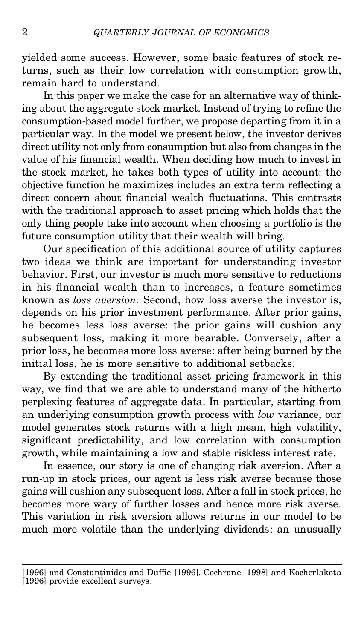yielded some success. However, some basic features of stock returns, such as their low correlation with consumption growth, remain hard to understand.

In this paper we make the case for an alternative way of thinking about the aggregate stock market. Instead of trying to refine the consumption-based model further, we propose departing from it in a particular way. In the model we present below, the investor derives direct utility not only from consumption but also from changes in the value of his financial wealth. When deciding how much to invest in the stock market, he takes both types of utility into account: the objective function he maximizes includes an extra term reflecting a direct concern about financial wealth fluctuations. This contrasts with the traditional approach to asset pricing which holds that the only thing people take into account when choosing a portfolio is the future consumption utility that their wealth will bring.

Our specification of this additional source of utility captures two ideas we think are important for understanding investor behavior. First, our investor is much more sensitive to reductions in his financial wealth than to increases, a feature sometimes known as *loss aversion.* Second, how loss averse the investor is, depends on his prior investment performance. After prior gains, he becomes less loss averse: the prior gains will cushion any subsequent loss, making it more bearable. Conversely, after a prior loss, he becomes more loss averse: after being burned by the initial loss, he is more sensitive to additional setbacks.

By extending the traditional asset pricing framework in this way, we find that we are able to understand many of the hitherto perplexing features of aggregate data. In particular, starting from an underlying consumption growth process with *low* variance, our model generates stock returns with a high mean, high volatility, significant predictability, and low correlation with consumption growth, while maintaining a low and stable riskless interest rate.

In essence, our story is one of changing risk aversion. After a run-up in stock prices, our agent is less risk averse because those gains will cushion any subsequent loss. After a fall in stock prices, he becomes more wary of further losses and hence more risk averse. This variation in risk aversion allows returns in our model to be much more volatile than the underlying dividends: an unusually

<sup>[1996]</sup> and Constantinides and Duffie [1996]. Cochrane [1998] and Kocherlakota [1996] provide excellent surveys.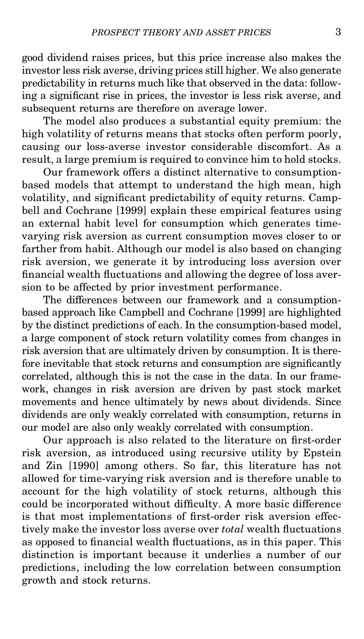good dividend raises prices, but this price increase also makes the investor less risk averse, driving prices still higher. We also generate predictability in returns much like that observed in the data: following a signicant rise in prices, the investor is less risk averse, and subsequent returns are therefore on average lower.

The model also produces a substantial equity premium: the high volatility of returns means that stocks often perform poorly, causing our loss-averse investor considerable discomfort. As a result, a large premium is required to convince him to hold stocks.

Our framework offers a distinct alternative to consumption based models that attempt to understand the high mean, high volatility, and significant predictability of equity returns. Campbell and Cochrane [1999] explain these empirical features using an external habit level for consumption which generates time varying risk aversion as current consumption moves closer to or farther from habit. Although our model is also based on changing risk aversion, we generate it by introducing loss aversion over financial wealth fluctuations and allowing the degree of loss aversion to be affected by prior investment performance.

The differences between our framework and a consumption based approach like Campbell and Cochrane [1999] are highlighted by the distinct predictions of each. In the consumption-based model, a large component of stock return volatility comes from changes in risk aversion that are ultimately driven by consumption. It is therefore inevitable that stock returns and consumption are signicantly correlated, although this is not the case in the data. In our frame work, changes in risk aversion are driven by past stock market movements and hence ultimately by news about dividends. Since dividends are only weakly correlated with consumption, returns in our model are also only weakly correlated with consumption.

Our approach is also related to the literature on first-order risk aversion, as introduced using recursive utility by Epstein and Zin [1990] among others. So far, this literature has not allowed for time-varying risk aversion and is therefore unable to account for the high volatility of stock returns, although this could be incorporated without difficulty. A more basic difference is that most implementations of first-order risk aversion effectively make the investor loss averse over *total* wealth fluctuations as opposed to financial wealth fluctuations, as in this paper. This distinction is important because it underlies a number of our predictions, including the low correlation between consumption growth and stock returns.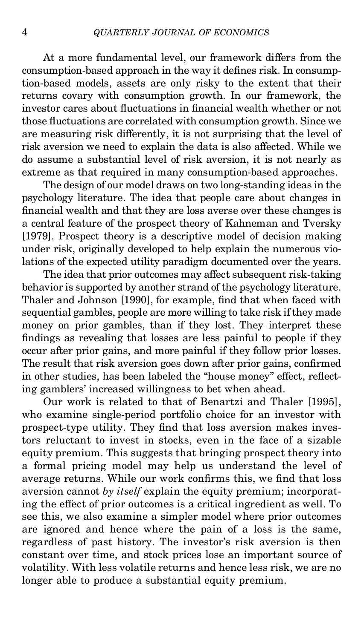At a more fundamental level, our framework differs from the consumption-based approach in the way it defines risk. In consumption-based models, assets are only risky to the extent that their returns covary with consumption growth. In our framework, the investor cares about fluctuations in financial wealth whether or not those fluctuations are correlated with consumption growth. Since we are measuring risk differently, it is not surprising that the level of risk aversion we need to explain the data is also affected. While we do assume a substantial level of risk aversion, it is not nearly as extreme as that required in many consumption-based approaches.

The design of our model draws on two long-standing ideas in the psychology literature. The idea that people care about changes in financial wealth and that they are loss averse over these changes is a central feature of the prospect theory of Kahneman and Tversky [1979]. Prospect theory is a descriptive model of decision making under risk, originally developed to help explain the numerous violations of the expected utility paradigm documented over the years.

The idea that prior outcomes may affect subsequent risk-taking behavior is supported by another strand of the psychology literature. Thaler and Johnson [1990], for example, find that when faced with sequential gambles, people are more willing to take risk ifthey made money on prior gambles, than if they lost. They interpret these ndings as revealing that losses are less painful to people if they occur after prior gains, and more painful if they follow prior losses. The result that risk aversion goes down after prior gains, confirmed in other studies, has been labeled the "house money" effect, reflecting gamblers' increased willingness to bet when ahead.

Our work is related to that of Benartzi and Thaler [1995], who examine single-period portfolio choice for an investor with prospect-type utility. They find that loss aversion makes investors reluctant to invest in stocks, even in the face of a sizable equity premium. This suggests that bringing prospect theory into a formal pricing model may help us understand the level of average returns. While our work confirms this, we find that loss aversion cannot *by itself* explain the equity premium; incorporating the effect of prior outcomes is a critical ingredient as well. To see this, we also examine a simpler model where prior outcomes are ignored and hence where the pain of a loss is the same, regardless of past history. The investor's risk aversion is then constant over time, and stock prices lose an important source of volatility. With less volatile returns and hence less risk, we are no longer able to produce a substantial equity premium.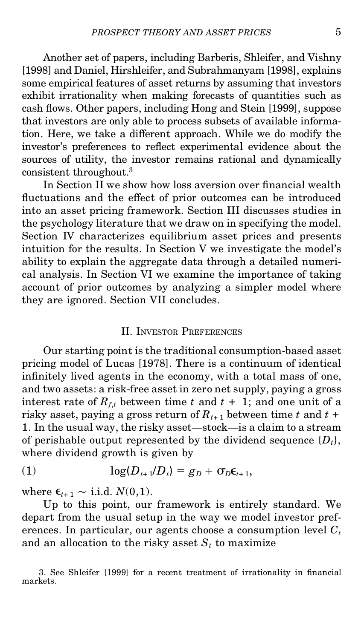Another set of papers, including Barberis, Shleifer, and Vishny [1998] and Daniel, Hirshleifer, and Subrahmanyam [1998], explains some empirical features of asset returns by assuming that investors exhibit irrationality when making forecasts of quantities such as cash flows. Other papers, including Hong and Stein [1999], suppose that investors are only able to process subsets of available information. Here, we take a different approach. While we do modify the investor's preferences to reflect experimental evidence about the sources of utility, the investor remains rational and dynamically consistent throughout.<sup>3</sup>

In Section II we show how loss aversion over financial wealth fluctuations and the effect of prior outcomes can be introduced into an asset pricing framework. Section III discusses studies in the psychology literature that we draw on in specifying the model. Section IV characterizes equilibrium asset prices and presents intuition for the results. In Section V we investigate the model's ability to explain the aggregate data through a detailed numeri cal analysis. In Section VI we examine the importance of taking account of prior outcomes by analyzing a simpler model where they are ignored. Section VII concludes.

#### II. INVESTOR PREFERENCES

Our starting point is the traditional consumption-based asset pricing model of Lucas [1978]. There is a continuum of identical infinitely lived agents in the economy, with a total mass of one, and two assets: a risk-free asset in zero net supply, paying a gross interest rate of  $R_{f,t}$  between time  $t$  and  $t + 1$ ; and one unit of a risky asset, paying a gross return of  $R_{t+1}$  between time  $t$  and  $t +$ 1. In the usual way, the risky asset—stock—is a claim to a stream of perishable output represented by the dividend sequence  ${D_t}$ , where dividend growth is given by

(1) 
$$
\log(D_{t+1}/D_t) = g_D + \sigma_D \epsilon_{t+1},
$$

where  $\epsilon_{t+1} \sim$  i.i.d. *N*(0,1).

Up to this point, our framework is entirely standard. We depart from the usual setup in the way we model investor pref erences. In particular, our agents choose a consumption level  $C_t$ and an allocation to the risky asset  $S_t$  to maximize

<sup>3.</sup> See Shleifer [1999] for a recent treatment of irrationality in financial markets.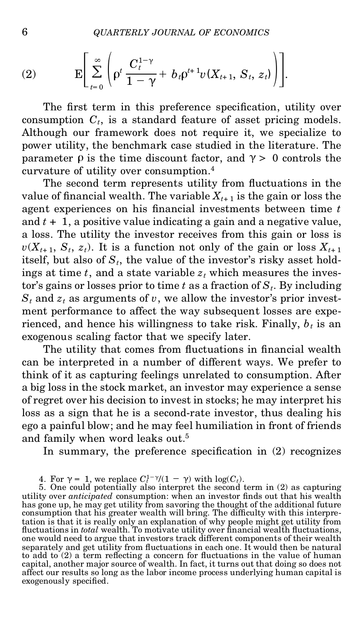(2) 
$$
E\left[\sum_{t=0}^{\infty}\left(\rho^t\frac{C_t^{1-\gamma}}{1-\gamma}+b_t\rho^{t+1}v(X_{t+1},S_t,z_t)\right)\right].
$$

The first term in this preference specification, utility over consumption  $C_t$ , is a standard feature of asset pricing models. Although our framework does not require it, we specialize to power utility, the benchmark case studied in the literature. The parameter  $\rho$  is the time discount factor, and  $\gamma > 0$  controls the curvature of utility over consumption.<sup>4</sup>

The second term represents utility from fluctuations in the value of financial wealth. The variable  $X_{t+1}$  is the gain or loss the agent experiences on his financial investments between time *t* and *t* + 1, a positive value indicating a gain and a negative value, a loss. The utility the investor receives from this gain or loss is  $v(X_{t+1}, S_t, z_t)$ . It is a function not only of the gain or loss  $X_{t+1}$ itself, but also of  $S_t$ , the value of the investor's risky asset holdings at time  $t$ , and a state variable  $z_t$  which measures the investor's gains or losses prior to time *t* as a fraction of  $S_t$ . By including  $S_t$  and  $z_t$  as arguments of *v*, we allow the investor's prior investment performance to affect the way subsequent losses are expe rienced, and hence his willingness to take risk. Finally,  $b_t$  is an exogenous scaling factor that we specify later.

The utility that comes from fluctuations in financial wealth can be interpreted in a number of different ways. We prefer to think of it as capturing feelings unrelated to consumption. After a big loss in the stock market, an investor may experience a sense of regret over his decision to invest in stocks; he may interpret his loss as a sign that he is a second-rate investor, thus dealing his ego a painful blow; and he may feel humiliation in front of friends and family when word leaks out.<sup>5</sup>

In summary, the preference specification in  $(2)$  recognizes

<sup>4.</sup> For  $\gamma = 1$ , we replace  $C_t^{1-\gamma}/(1-\gamma)$  with  $\log(C_t)$ .<br>5. One could potentially also interpret the second term in (2) as capturing utility over *anticipated* consumption: when an investor nds out that his wealth has gone up, he may get utility from savoring the thought of the additional future consumption that his greater wealth will bring. The difculty with this interpre tation is that it is really only an explanation of why people might get utility from<br>fluctuations in *total* wealth. To motivate utility over financial wealth fluctuations,<br>one would need to argue that investors track diff separately and get utility from fluctuations in each one. It would then be natural to add to (2) a term reflecting a concern for fluctuations in the value of human<br>capital, another major source of wealth. In fact, it turns out that doing so does not affect our results so long as the labor income process underlying human capital is exogenously specified.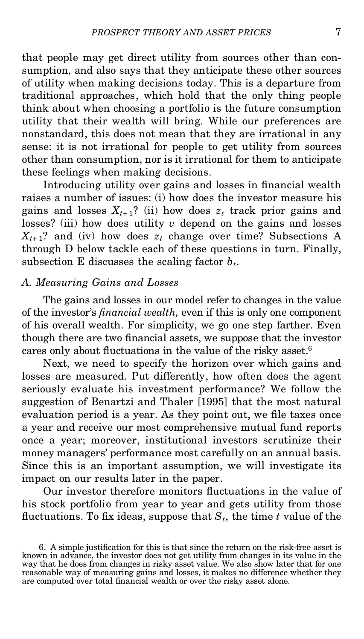that people may get direct utility from sources other than con sumption, and also says that they anticipate these other sources of utility when making decisions today. This is a departure from traditional approaches, which hold that the only thing people think about when choosing a portfolio is the future consumption utility that their wealth will bring. While our preferences are nonstandard, this does not mean that they are irrational in any sense: it is not irrational for people to get utility from sources other than consumption, nor is it irrational for them to anticipate these feelings when making decisions.

Introducing utility over gains and losses in financial wealth raises a number of issues: (i) how does the investor measure his gains and losses  $X_{t+1}$ ? (ii) how does  $z_t$  track prior gains and losses? (iii) how does utility *v* depend on the gains and losses  $X_{t+1}$ ? and (iv) how does  $z_t$  change over time? Subsections A through D below tackle each of these questions in turn. Finally, subsection E discusses the scaling factor  $b_t$ .

#### *A. Measuring Gains and Losses*

The gains and losses in our model refer to changes in the value of the investor's *financial wealth*, even if this is only one component of his overall wealth. For simplicity, we go one step farther. Even though there are two financial assets, we suppose that the investor cares only about fluctuations in the value of the risky asset. $6$ 

Next, we need to specify the horizon over which gains and losses are measured. Put differently, how often does the agent seriously evaluate his investment performance? We follow the suggestion of Benartzi and Thaler [1995] that the most natural evaluation period is a year. As they point out, we file taxes once a year and receive our most comprehensive mutual fund reports once a year; moreover, institutional investors scrutinize their money managers' performance most carefully on an annual basis. Since this is an important assumption, we will investigate its impact on our results later in the paper.

Our investor therefore monitors fluctuations in the value of his stock portfolio from year to year and gets utility from those fluctuations. To fix ideas, suppose that  $S_t$ , the time *t* value of the

<sup>6.</sup> A simple justication for this is that since the return on the risk-free asset is known in advance, the investor does not get utility from changes in its value in the way that he does from changes in risky asset value. We also show later that for one reasonable way of measuring gains and losses, it makes no difference whether they are computed over total nancial wealth or over the risky asset alone.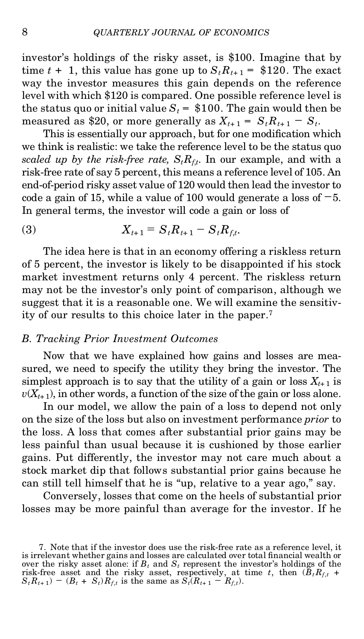investor's holdings of the risky asset, is \$100. Imagine that by time  $t + 1$ , this value has gone up to  $S_t R_{t+1} = $120$ . The exact way the investor measures this gain depends on the reference level with which \$120 is compared. One possible reference level is the status quo or initial value  $S_t = $100$ . The gain would then be measured as \$20, or more generally as  $X_{t+1} = S_t R_{t+1} - S_t$ .

This is essentially our approach, but for one modification which we think is realistic: we take the reference level to be the status quo *scaled up by the risk-free rate,*  $S_t R_{ft}$ . In our example, and with a risk-free rate of say 5 percent, this means a reference level of 105. An end-of-period risky asset value of 120 would then lead the investor to code a gain of 15, while a value of 100 would generate a loss of  $-5$ . In general terms, the investor will code a gain or loss of

(3) 
$$
X_{t+1} = S_t R_{t+1} - S_t R_{f,t}.
$$

The idea here is that in an economy offering a riskless return of 5 percent, the investor is likely to be disappointed if his stock market investment returns only 4 percent. The riskless return may not be the investor's only point of comparison, although we suggest that it is a reasonable one. We will examine the sensitivity of our results to this choice later in the paper.<sup>7</sup>

#### *B. Tracking Prior Investment Outcomes*

Now that we have explained how gains and losses are mea sured, we need to specify the utility they bring the investor. The simplest approach is to say that the utility of a gain or loss  $X_{t+1}$  is  $v(X_{t+1})$ , in other words, a function of the size of the gain or loss alone.

In our model, we allow the pain of a loss to depend not only on the size of the loss but also on investment performance *prior* to the loss. A loss that comes after substantial prior gains may be less painful than usual because it is cushioned by those earlier gains. Put differently, the investor may not care much about a stock market dip that follows substantial prior gains because he can still tell himself that he is "up, relative to a year ago," say.

Conversely, losses that come on the heels of substantial prior losses may be more painful than average for the investor. If he

<sup>7.</sup> Note that if the investor does use the risk-free rate as a reference level, it is irrelevant whether gains and losses are calculated over total financial wealth or over the risky asset alone: if  $B_t$  and  $S_t$  represent the investor's holdings of the risk-free asset and the risky asset, respectively, at time t, then  $(B_t R_{f,t} + S_t R_{f,t}) - (B_t + S_t) R_{f,t}$  is the same as  $S_t (R_{t+1} - R_{f,t})$ .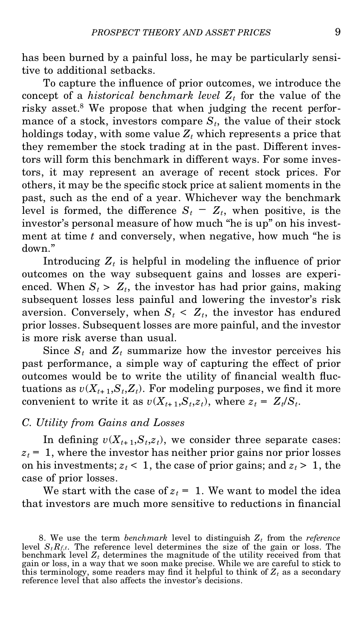has been burned by a painful loss, he may be particularly sensitive to additional setbacks.

To capture the influence of prior outcomes, we introduce the concept of a *historical benchmark level*  $Z_t$  for the value of the risky asset. $8$  We propose that when judging the recent performance of a stock, investors compare  $S_t$ , the value of their stock holdings today, with some value  $Z_t$  which represents a price that they remember the stock trading at in the past. Different investors will form this benchmark in different ways. For some investors, it may represent an average of recent stock prices. For others, it may be the specific stock price at salient moments in the past, such as the end of a year. Whichever way the benchmark level is formed, the difference  $S_t - Z_t$ , when positive, is the investor's personal measure of how much "he is up" on his invest ment at time *t* and conversely, when negative, how much "he is down."

Introducing  $Z_t$  is helpful in modeling the influence of prior outcomes on the way subsequent gains and losses are experi enced. When  $S_t > Z_t$ , the investor has had prior gains, making subsequent losses less painful and lowering the investor's risk aversion. Conversely, when  $S_t < Z_t$ , the investor has endured prior losses. Subsequent losses are more painful, and the investor is more risk averse than usual.

Since  $S_t$  and  $Z_t$  summarize how the investor perceives his past performance, a simple way of capturing the effect of prior outcomes would be to write the utility of financial wealth fluctuations as  $v(X_{t+1},S_t,Z_t)$ . For modeling purposes, we find it more convenient to write it as  $v(X_{t+1}, S_t, z_t)$ , where  $z_t = Z_t/S_t$ .

#### *C. Utility from Gains and Losses*

In defining  $v(X_{t+1},S_t,z_t)$ , we consider three separate cases:  $z_t = 1$ , where the investor has neither prior gains nor prior losses on his investments;  $z_t < 1$ , the case of prior gains; and  $z_t > 1$ , the case of prior losses.

We start with the case of  $z_t = 1$ . We want to model the idea that investors are much more sensitive to reductions in nancial

<sup>8.</sup> We use the term *benchmark* level to distinguish *Z<sup>t</sup>* from the *reference* level  $S_t R_f$ , The reference level determines the size of the gain or loss. The benchmark level  $Z_t$  determines the magnitude of the utility received from that gain or loss, in a way that we soon make precise. While we are careful to stick to this terminology, some readers may find it helpful to think of  $Z_t$  as a secondary reference level that also affects the investor's decisions.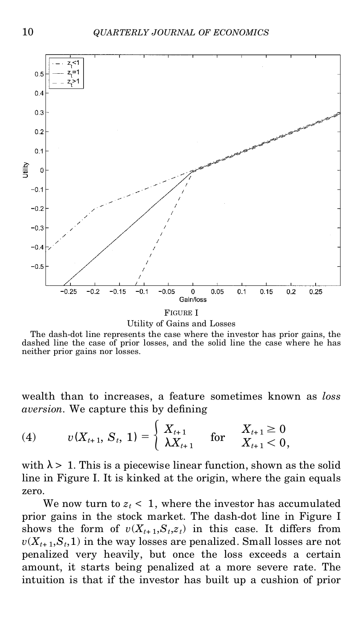

Utility of Gains and Losses

The dash-dot line represents the case where the investor has prior gains, the dashed line the case of prior losses, and the solid line the case where he has neither prior gains nor losses.

wealth than to increases, a feature sometimes known as *loss aversion*. We capture this by defining

(4) 
$$
v(X_{t+1}, S_t, 1) = \begin{cases} X_{t+1} & \text{for} \quad X_{t+1} \geq 0 \\ \lambda X_{t+1} & \text{for} \quad X_{t+1} < 0, \end{cases}
$$

with  $\lambda > 1$ . This is a piecewise linear function, shown as the solid line in Figure I. It is kinked at the origin, where the gain equals zero.

We now turn to  $z_t < 1$ , where the investor has accumulated prior gains in the stock market. The dash-dot line in Figure I shows the form of  $v(X_{t+1},S_t,z_t)$  in this case. It differs from  $v(X_{t+1},S_t,1)$  in the way losses are penalized. Small losses are not penalized very heavily, but once the loss exceeds a certain amount, it starts being penalized at a more severe rate. The intuition is that if the investor has built up a cushion of prior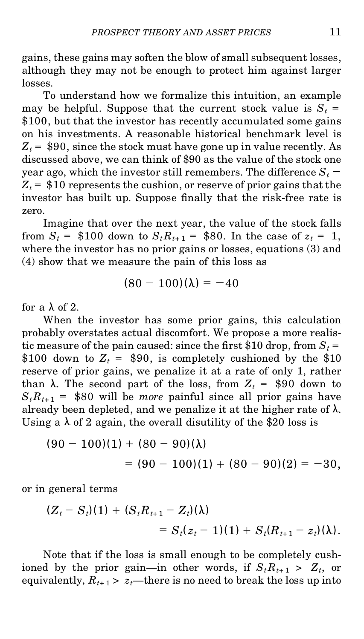gains, these gains may soften the blow of small subsequent losses, although they may not be enough to protect him against larger losses.

To understand how we formalize this intuition, an example may be helpful. Suppose that the current stock value is  $S_t$  = \$100, but that the investor has recently accumulated some gains on his investments. A reasonable historical benchmark level is  $Z_t$  = \$90, since the stock must have gone up in value recently. As discussed above, we can think of \$90 as the value of the stock one year ago, which the investor still remembers. The difference  $S_t$  –  $Z_t$  = \$10 represents the cushion, or reserve of prior gains that the investor has built up. Suppose finally that the risk-free rate is zero.

Imagine that over the next year, the value of the stock falls from  $S_t = $100$  down to  $S_t R_{t+1} = $80$ . In the case of  $z_t = 1$ , where the investor has no prior gains or losses, equations (3) and (4) show that we measure the pain of this loss as

$$
(80-100)(\lambda)=-40
$$

for a  $\lambda$  of 2.

When the investor has some prior gains, this calculation probably overstates actual discomfort. We propose a more realistic measure of the pain caused: since the first \$10 drop, from  $S_t$  = \$100 down to  $Z_t = $90$ , is completely cushioned by the \$10 reserve of prior gains, we penalize it at a rate of only 1, rather than  $\lambda$ . The second part of the loss, from  $Z_t = $90$  down to  $S_t R_{t+1}$  = \$80 will be *more* painful since all prior gains have already been depleted, and we penalize it at the higher rate of  $\lambda$ . Using a  $\lambda$  of 2 again, the overall disutility of the \$20 loss is

$$
(90-100)(1) + (80-90)(\lambda)
$$
  
= (90-100)(1) + (80-90)(2) = -30,

or in general terms

$$
(Z_t - S_t)(1) + (S_t R_{t+1} - Z_t)(\lambda)
$$
  
=  $S_t(z_t - 1)(1) + S_t(R_{t+1} - z_t)(\lambda)$ .

Note that if the loss is small enough to be completely cushioned by the prior gain—in other words, if  $S_t R_{t+1} > Z_t$ , or equivalently,  $R_{t+1} > z_t$ —there is no need to break the loss up into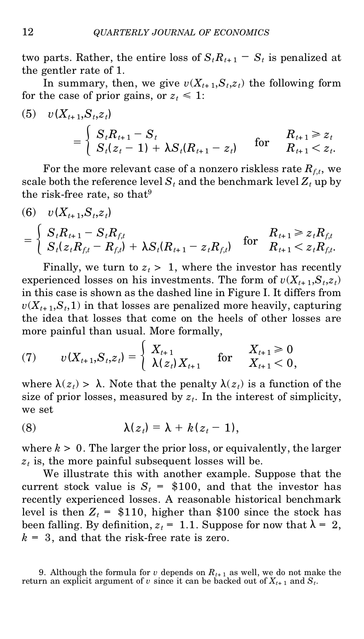two parts. Rather, the entire loss of  $S_t R_{t+1} - S_t$  is penalized at the gentler rate of 1.

In summary, then, we give  $v(X_{t+1}, S_t, z_t)$  the following form for the case of prior gains, or  $z_t \leq 1$ :

(5) 
$$
v(X_{t+1}, S_t, z_t) = \begin{cases} S_t R_{t+1} - S_t & R_{t+1} \ge z_t \\ S_t (z_t - 1) + \lambda S_t (R_{t+1} - z_t) & \text{for } R_{t+1} < z_t. \end{cases}
$$

For the more relevant case of a nonzero riskless rate  $R_{f,t}$ , we scale both the reference level  $S_t$  and the benchmark level  $Z_t$  up by the risk-free rate, so that 9

(6) 
$$
v(X_{t+1}, S_t, z_t)
$$
  
= 
$$
\begin{cases} S_t R_{t+1} - S_t R_{f,t} & R_{t+1} \ge z_t R_{f,t} \\ S_t (z_t R_{f,t} - R_{f,t}) + \lambda S_t (R_{t+1} - z_t R_{f,t}) & \text{for } R_{t+1} < z_t R_{f,t}. \end{cases}
$$

Finally, we turn to  $z_t > 1$ , where the investor has recently experienced losses on his investments. The form of  $v(X_{t+1},S_t,z_t)$ in this case is shown as the dashed line in Figure I. It differs from  $v(X_{t+1},S_t,1)$  in that losses are penalized more heavily, capturing the idea that losses that come on the heels of other losses are more painful than usual. More formally,

(7) 
$$
v(X_{t+1},S_t,z_t) = \begin{cases} X_{t+1} & \text{for} \quad X_{t+1} \geq 0 \\ \lambda(z_t)X_{t+1} & \text{for} \quad X_{t+1} < 0, \end{cases}
$$

where  $\lambda(z_t) > \lambda$ . Note that the penalty  $\lambda(z_t)$  is a function of the size of prior losses, measured by  $z_t$ . In the interest of simplicity, we set

(8) 
$$
\lambda(z_t) = \lambda + k(z_t - 1),
$$

where  $k > 0$ . The larger the prior loss, or equivalently, the larger  $z<sub>t</sub>$  is, the more painful subsequent losses will be.

We illustrate this with another example. Suppose that the current stock value is  $S_t = $100$ , and that the investor has recently experienced losses. A reasonable historical benchmark level is then  $Z_t = $110$ , higher than \$100 since the stock has been falling. By definition,  $z_t = 1.1$ . Suppose for now that  $\lambda = 2$ ,  $k = 3$ , and that the risk-free rate is zero.

9. Although the formula for *v* depends on  $R_{t+1}$  as well, we do not make the return an explicit argument of *v* since it can be backed out of  $X_{t+1}$  and  $S_t$ .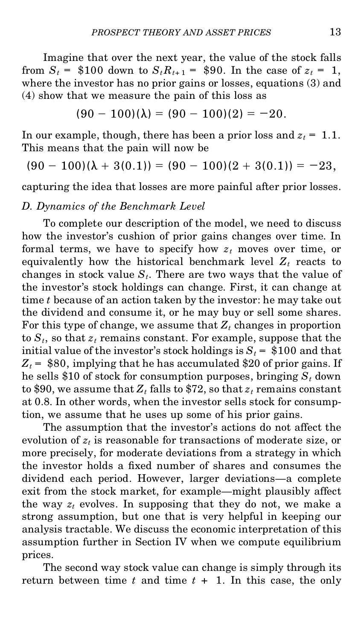Imagine that over the next year, the value of the stock falls from  $S_t = $100$  down to  $S_t R_{t+1} = $90$ . In the case of  $z_t = 1$ , where the investor has no prior gains or losses, equations (3) and (4) show that we measure the pain of this loss as

$$
(90-100)(\lambda) = (90-100)(2) = -20.
$$

In our example, though, there has been a prior loss and  $z_t = 1.1$ . This means that the pain will now be

$$
(90-100)(\lambda+3(0.1)) = (90-100)(2+3(0.1)) = -23,
$$

capturing the idea that losses are more painful after prior losses.

### *D. Dynamics of the Benchmark Level*

To complete our description of the model, we need to discuss how the investor's cushion of prior gains changes over time. In formal terms, we have to specify how  $z_t$  moves over time, or equivalently how the historical benchmark level  $Z_t$  reacts to changes in stock value  $S_t$ . There are two ways that the value of the investor's stock holdings can change. First, it can change at time *t* because of an action taken by the investor: he may take out the dividend and consume it, or he may buy or sell some shares. For this type of change, we assume that  $Z_t$  changes in proportion to  $S_t$ , so that  $z_t$  remains constant. For example, suppose that the initial value of the investor's stock holdings is  $S_t$  = \$100 and that  $Z_t$  = \$80, implying that he has accumulated \$20 of prior gains. If he sells \$10 of stock for consumption purposes, bringing  $S_t$  down to \$90, we assume that  $Z_t$  falls to \$72, so that  $z_t$  remains constant at 0.8. In other words, when the investor sells stock for consumption, we assume that he uses up some of his prior gains.

The assumption that the investor's actions do not affect the evolution of *z<sup>t</sup>* is reasonable for transactions of moderate size, or more precisely, for moderate deviations from a strategy in which the investor holds a fixed number of shares and consumes the dividend each period. However, larger deviations—a complete exit from the stock market, for example—might plausibly affect the way  $z_t$  evolves. In supposing that they do not, we make a strong assumption, but one that is very helpful in keeping our analysis tractable. We discuss the economic interpretation of this assumption further in Section IV when we compute equilibrium prices.

The second way stock value can change is simply through its return between time  $t$  and time  $t + 1$ . In this case, the only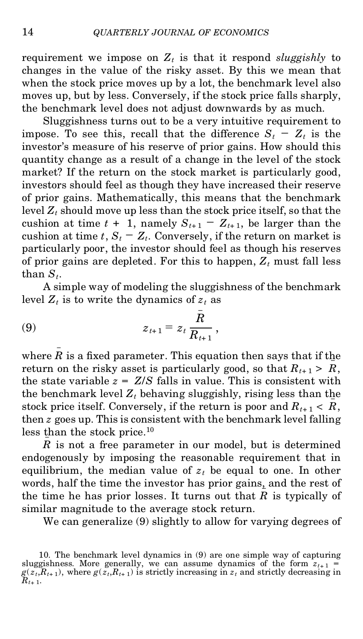requirement we impose on  $Z_t$  is that it respond *sluggishly* to changes in the value of the risky asset. By this we mean that when the stock price moves up by a lot, the benchmark level also moves up, but by less. Conversely, if the stock price falls sharply, the benchmark level does not adjust downwards by as much.

Sluggishness turns out to be a very intuitive requirement to impose. To see this, recall that the difference  $S_t - Z_t$  is the investor's measure of his reserve of prior gains. How should this quantity change as a result of a change in the level of the stock market? If the return on the stock market is particularly good, investors should feel as though they have increased their reserve of prior gains. Mathematically, this means that the benchmark level  $Z_t$  should move up less than the stock price itself, so that the cushion at time  $t + 1$ , namely  $S_{t+1} - Z_{t+1}$ , be larger than the cushion at time  $t$ ,  $S_t - Z_t$ . Conversely, if the return on market is particularly poor, the investor should feel as though his reserves of prior gains are depleted. For this to happen,  $Z_t$  must fall less than  $S_t$ .

A simple way of modeling the sluggishness of the benchmark level  $Z_t$  is to write the dynamics of  $z_t$  as

(9) 
$$
z_{t+1} = z_t \frac{\bar{R}}{R_{t+1}},
$$

where  $\bar{R}$  is a fixed parameter. This equation then says that if the return on the risky asset is particularly good, so that  $R_{t+1} > R$ , the state variable  $z = Z/S$  falls in value. This is consistent with the benchmark level  $Z_t$  behaving sluggishly, rising less than the stock price itself. Conversely, if the return is poor and  $R_{t+1} < R$ , then *z* goes up. This is consistent with the benchmark level falling less than the stock price.<sup>10</sup>

 $R$  is not a free parameter in our model, but is determined endogenously by imposing the reasonable requirement that in equilibrium, the median value of  $z<sub>t</sub>$  be equal to one. In other words, half the time the investor has prior gains, and the rest of the time he has prior losses. It turns out that  $\overline{R}$  is typically of similar magnitude to the average stock return.

We can generalize (9) slightly to allow for varying degrees of

<sup>10.</sup> The benchmark level dynamics in (9) are one simple way of capturing sluggishness. More generally, we can assume dynamics of the form  $z_{t+1} = g(z_t, R_{t+1})$ , where  $g(z_t, R_{t+1})$  is strictly increasing in  $z_t$  and strictly decreasing in  $R_{t+1}$ .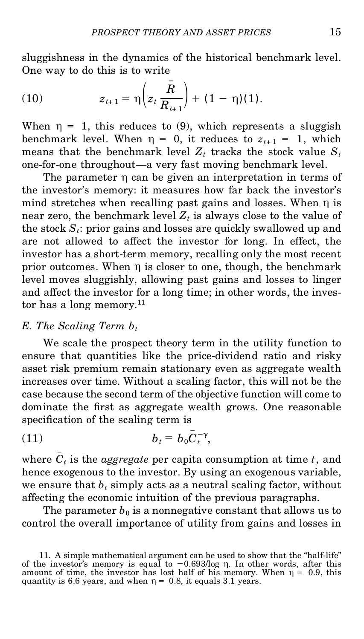sluggishness in the dynamics of the historical benchmark level. One way to do this is to write

(10) 
$$
z_{t+1} = \eta \left( z_t \frac{\bar{R}}{R_{t+1}} \right) + (1 - \eta)(1).
$$

When  $\eta = 1$ , this reduces to (9), which represents a sluggish benchmark level. When  $\eta = 0$ , it reduces to  $z_{t+1} = 1$ , which means that the benchmark level  $Z_t$  tracks the stock value  $S_t$ one-for-one throughout—a very fast moving benchmark level.

The parameter  $\eta$  can be given an interpretation in terms of the investor's memory: it measures how far back the investor's mind stretches when recalling past gains and losses. When  $\eta$  is near zero, the benchmark level  $Z_t$  is always close to the value of the stock  $S_t$ : prior gains and losses are quickly swallowed up and are not allowed to affect the investor for long. In effect, the investor has a short-term memory, recalling only the most recent prior outcomes. When  $\eta$  is closer to one, though, the benchmark level moves sluggishly, allowing past gains and losses to linger and affect the investor for a long time; in other words, the investor has a long memory.<sup>11</sup>

#### *E. The Scaling Term b<sup>t</sup>*

We scale the prospect theory term in the utility function to ensure that quantities like the price-dividend ratio and risky asset risk premium remain stationary even as aggregate wealth increases over time. Without a scaling factor, this will not be the case because the second term of the objective function will come to dominate the first as aggregate wealth grows. One reasonable specification of the scaling term is

$$
(11) \t b_t = b_0 \bar{C}_t^{-\gamma},
$$

where  $\bar{C}_t$  is the *aggregate* per capita consumption at time  $t$ , and hence exogenous to the investor. By using an exogenous variable, we ensure that  $b_t$  simply acts as a neutral scaling factor, without affecting the economic intuition of the previous paragraphs.

The parameter  $b_0$  is a nonnegative constant that allows us to control the overall importance of utility from gains and losses in

<sup>11.</sup> A simple mathematical argument can be used to show that the "half-life" of the investor's memory is equal to  $-0.693/\log n$ . In other words, after this amount of time, the investor has lost half of his memory. When  $\eta = 0.9$ , this quantity is 6.6 years, and when  $\eta = 0.8$ , it equals 3.1 years.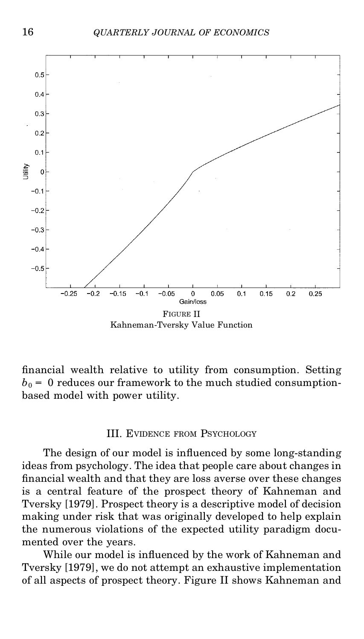

Kahneman-Tversky Value Function

nancial wealth relative to utility from consumption. Setting  $b_0$  = 0 reduces our framework to the much studied consumptionbased model with power utility.

#### III. EVIDENCE FROM PSYCHOLOGY

The design of our model is influenced by some long-standing ideas from psychology. The idea that people care about changes in nancial wealth and that they are loss averse over these changes is a central feature of the prospect theory of Kahneman and Tversky [1979]. Prospect theory is a descriptive model of decision making under risk that was originally developed to help explain the numerous violations of the expected utility paradigm docu mented over the years.

While our model is influenced by the work of Kahneman and Tversky [1979], we do not attempt an exhaustive implementation of all aspects of prospect theory. Figure II shows Kahneman and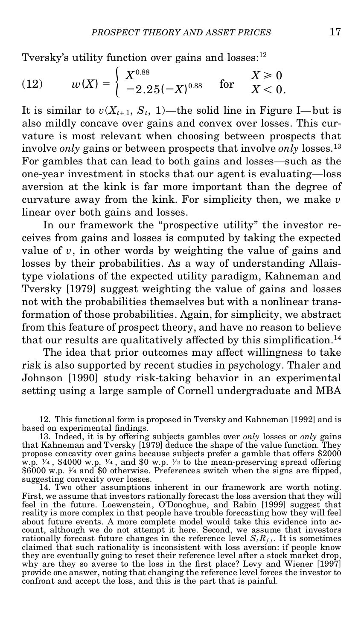Tversky's utility function over gains and losses:<sup>12</sup>

(12) 
$$
w(X) = \begin{cases} X^{0.88} & \text{for} \quad X \ge 0 \\ -2.25(-X)^{0.88} & \text{for} \quad X < 0. \end{cases}
$$

It is similar to  $v(X_{t+1}, S_t, 1)$ —the solid line in Figure I—but is also mildly concave over gains and convex over losses. This cur vature is most relevant when choosing between prospects that involve *only* gains or between prospects that involve *only* losses.<sup>13</sup> For gambles that can lead to both gains and losses—such as the one-year investment in stocks that our agent is evaluating—loss aversion at the kink is far more important than the degree of curvature away from the kink. For simplicity then, we make *v* linear over both gains and losses.

In our framework the "prospective utility" the investor re ceives from gains and losses is computed by taking the expected value of *v*, in other words by weighting the value of gains and losses by their probabilities. As a way of understanding Allaistype violations of the expected utility paradigm, Kahneman and Tversky [1979] suggest weighting the value of gains and losses not with the probabilities themselves but with a nonlinear transformation of those probabilities. Again, for simplicity, we abstract from this feature of prospect theory, and have no reason to believe that our results are qualitatively affected by this simplification.<sup>14</sup>

The idea that prior outcomes may affect willingness to take risk is also supported by recent studies in psychology. Thaler and Johnson [1990] study risk-taking behavior in an experimental setting using a large sample of Cornell undergraduate and MBA

12. This functional form is proposed in Tversky and Kahneman [1992] and is

13. Indeed, it is by offering subjects gambles over *only* losses or *only* gains that Kahneman and Tversky [1979] deduce the shape of the value function. They propose concavity over gains because subjects prefer a gamble that offers \$2000 w.p.  $\frac{1}{4}$ , \$4000 w.p.  $\frac{1}{4}$ , and \$0 w.p.  $\frac{1}{2}$  to the mean-preserving spread offering  $$6000 \text{ w.p. } \frac{1}{4}$  and \$0 otherwise. Preferences switch when the signs are flipped, suggesting convexity over losses.

14. Two other assumptions inherent in our framework are worth noting. First, we assume that investors rationally forecast the loss aversion that they will feel in the future. Loewenstein, O'Donoghue, and Rabin [1999] suggest that reality is more complex in that people have trouble forecasting how they will feel about future events. <sup>A</sup> more complete model would take this evidence into ac- count, although we do not attempt it here. Second, we assume that investors rationally forecast future changes in the reference level  $S_t R_{f,t}$ . It is sometimes claimed that such rationality is inconsistent with loss aversion: if people know they are eventually going to reset their reference level after <sup>a</sup> stock market drop, why are they so averse to the loss in the rst place? Levy and Wiener [1997] provide one answer, noting that changing the reference level forces the investor to confront and accept the loss, and this is the part that is painful.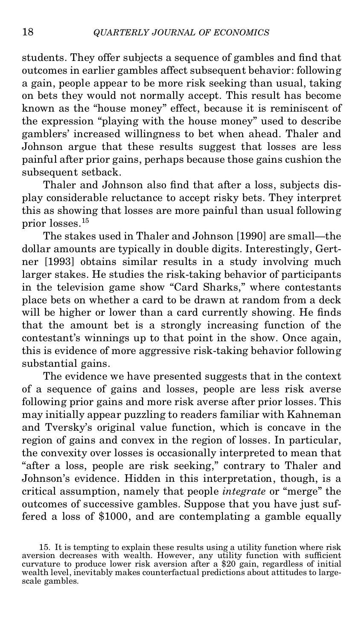students. They offer subjects a sequence of gambles and find that outcomes in earlier gambles affect subsequent behavior: following a gain, people appear to be more risk seeking than usual, taking on bets they would not normally accept. This result has become known as the "house money" effect, because it is reminiscent of the expression "playing with the house money" used to describe gamblers' increased willingness to bet when ahead. Thaler and Johnson argue that these results suggest that losses are less painful after prior gains, perhaps because those gains cushion the subsequent setback.

Thaler and Johnson also find that after a loss, subjects display considerable reluctance to accept risky bets. They interpret this as showing that losses are more painful than usual following prior losses.<sup>15</sup>

The stakes used in Thaler and Johnson [1990] are small—the dollar amounts are typically in double digits. Interestingly, Gert ner [1993] obtains similar results in a study involving much larger stakes. He studies the risk-taking behavior of participants in the television game show "Card Sharks," where contestants place bets on whether a card to be drawn at random from a deck will be higher or lower than a card currently showing. He finds that the amount bet is a strongly increasing function of the contestant's winnings up to that point in the show. Once again, this is evidence of more aggressive risk-taking behavior following substantial gains.

The evidence we have presented suggests that in the context of a sequence of gains and losses, people are less risk averse following prior gains and more risk averse after prior losses. This may initially appear puzzling to readers familiar with Kahneman and Tversky's original value function, which is concave in the region of gains and convex in the region of losses. In particular, the convexity over losses is occasionally interpreted to mean that "after a loss, people are risk seeking," contrary to Thaler and Johnson's evidence. Hidden in this interpretation, though, is a critical assumption, namely that people *integrate* or "merge" the outcomes of successive gambles. Suppose that you have just suffered a loss of \$1000, and are contemplating a gamble equally

<sup>15.</sup> It is tempting to explain these results using a utility function where risk aversion decreases with wealth. However, any utility function with sufficient<br>curvature to produce lower risk aversion after a \$20 gain, regardless of initial wealth level, inevitably makes counterfactual predictions about attitudes to large- scale gambles.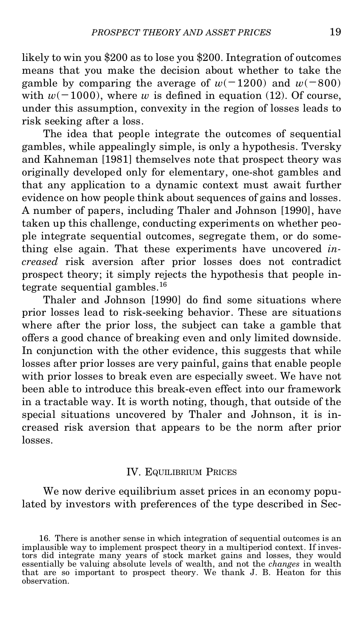likely to win you \$200 as to lose you \$200. Integration of outcomes means that you make the decision about whether to take the gamble by comparing the average of  $w(-1200)$  and  $w(-800)$ with  $w(-1000)$ , where *w* is defined in equation (12). Of course, under this assumption, convexity in the region of losses leads to risk seeking after a loss.

The idea that people integrate the outcomes of sequential gambles, while appealingly simple, is only a hypothesis. Tversky and Kahneman [1981] themselves note that prospect theory was originally developed only for elementary, one-shot gambles and that any application to a dynamic context must await further evidence on how people think about sequences of gains and losses. A number of papers, including Thaler and Johnson [1990], have taken up this challenge, conducting experiments on whether peo ple integrate sequential outcomes, segregate them, or do something else again. That these experiments have uncovered *increased* risk aversion after prior losses does not contradict prospect theory; it simply rejects the hypothesis that people integrate sequential gambles.<sup>16</sup>

Thaler and Johnson [1990] do find some situations where prior losses lead to risk-seeking behavior. These are situations where after the prior loss, the subject can take a gamble that offers a good chance of breaking even and only limited downside. In conjunction with the other evidence, this suggests that while losses after prior losses are very painful, gains that enable people with prior losses to break even are especially sweet. We have not been able to introduce this break-even effect into our framework in a tractable way. It is worth noting, though, that outside of the special situations uncovered by Thaler and Johnson, it is in creased risk aversion that appears to be the norm after prior losses.

#### IV. EQUILIBRIUM PRICES

We now derive equilibrium asset prices in an economy populated by investors with preferences of the type described in Sec-

<sup>16.</sup> There is another sense in which integration of sequential outcomes is an implausible way to implement prospect theory in a multiperiod context. If invesimplausible way to implement prospect theory in a multiperiod context. If investors did integrate many years of stock market gains and losses, they would essentially be valuing absolute levels of wealth, and not the *chang* that are so important to prospect theory. We thank J. B. Heaton for this observation.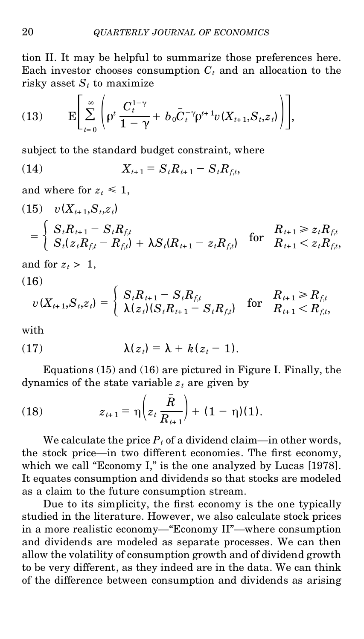tion II. It may be helpful to summarize those preferences here. Each investor chooses consumption  $C<sub>t</sub>$  and an allocation to the risky asset  $S_t$  to maximize

(13) 
$$
E\left[\sum_{t=0}^{\infty}\left(\rho^{t}\frac{C_{t}^{1-\gamma}}{1-\gamma}+b_{0}\bar{C}_{t}^{-\gamma}\rho^{t+1}v(X_{t+1},S_{t},z_{t})\right)\right],
$$

subject to the standard budget constraint, where

(14) 
$$
X_{t+1} = S_t R_{t+1} - S_t R_{f,t},
$$

and where for  $z_t \leq 1$ ,

(15) 
$$
v(X_{t+1}, S_t, z_t) = \begin{cases} S_t R_{t+1} - S_t R_{f,t} & R_{t+1} \geq z_t R_{f,t} \\ S_t (z_t R_{f,t} - R_{f,t}) + \lambda S_t (R_{t+1} - z_t R_{f,t}) & \text{for } R_{t+1} < z_t R_{f,t}, \end{cases}
$$

and for  $z_t > 1$ , (16)

$$
v(X_{t+1},S_t,z_t) = \begin{cases} S_t R_{t+1} - S_t R_{f,t} & \text{for} \quad R_{t+1} \ge R_{f,t} \\ \lambda(z_t) (S_t R_{t+1} - S_t R_{f,t}) & \text{for} \quad R_{t+1} < R_{f,t}, \end{cases}
$$

with

(17) 
$$
\lambda(z_t) = \lambda + k(z_t - 1).
$$

Equations (15) and (16) are pictured in Figure I. Finally, the dynamics of the state variable  $z_t$  are given by

(18) 
$$
z_{t+1} = \eta \left( z_t \frac{\bar{R}}{R_{t+1}} \right) + (1 - \eta)(1).
$$

We calculate the price  $P_t$  of a dividend claim—in other words, the stock price—in two different economies. The first economy, which we call "Economy I," is the one analyzed by Lucas [1978]. It equates consumption and dividends so that stocks are modeled as a claim to the future consumption stream.

Due to its simplicity, the first economy is the one typically studied in the literature. However, we also calculate stock prices in a more realistic economy—"Economy II"—where consumption and dividends are modeled as separate processes. We can then allow the volatility of consumption growth and of dividend growth to be very different, as they indeed are in the data. We can think of the difference between consumption and dividends as arising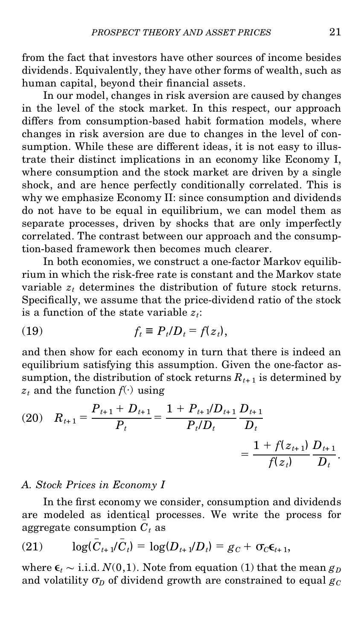from the fact that investors have other sources of income besides dividends. Equivalently, they have other forms of wealth, such as human capital, beyond their financial assets.

In our model, changes in risk aversion are caused by changes in the level of the stock market. In this respect, our approach differs from consumption-based habit formation models, where changes in risk aversion are due to changes in the level of con sumption. While these are different ideas, it is not easy to illustrate their distinct implications in an economy like Economy I, where consumption and the stock market are driven by a single shock, and are hence perfectly conditionally correlated. This is why we emphasize Economy II: since consumption and dividends do not have to be equal in equilibrium, we can model them as separate processes, driven by shocks that are only imperfectly correlated. The contrast between our approach and the consumption-based framework then becomes much clearer.

In both economies, we construct a one-factor Markov equilib rium in which the risk-free rate is constant and the Markov state variable  $z_t$  determines the distribution of future stock returns. Specifically, we assume that the price-dividend ratio of the stock is a function of the state variable *zt*:

$$
(19) \t\t\t f_t \equiv P_t/D_t = f(z_t),
$$

and then show for each economy in turn that there is indeed an equilibrium satisfying this assumption. Given the one-factor as sumption, the distribution of stock returns  $R_{t+1}$  is determined by  $z_t$  and the function  $f(·)$  using

(20) 
$$
R_{t+1} = \frac{P_{t+1} + D_{t+1}}{P_t} = \frac{1 + P_{t+1}/D_{t+1}}{P_t/D_t} \frac{D_{t+1}}{D_t} = \frac{1 + f(z_{t+1})}{f(z_t)} \frac{D_{t+1}}{D_t}.
$$

#### *A. Stock Prices in Economy I*

In the first economy we consider, consumption and dividends are modeled as identical processes. We write the process for aggregate consumption  $\overline{C}_t$  as

(21) 
$$
\log(\bar{C}_{t+1}/\bar{C}_t) = \log(D_{t+1}/D_t) = g_C + \sigma_C \epsilon_{t+1},
$$

where  $\epsilon_t \sim$  i.i.d. *N*(0,1). Note from equation (1) that the mean  $g_D$ and volatility  $\sigma_p$  of dividend growth are constrained to equal  $g_c$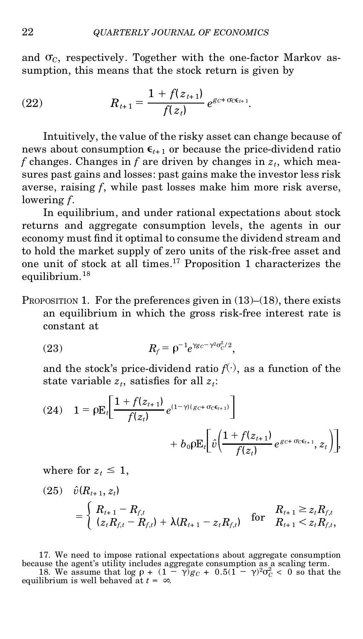and  $\sigma_C$ , respectively. Together with the one-factor Markov assumption, this means that the stock return is given by

(22) 
$$
R_{t+1} = \frac{1 + f(z_{t+1})}{f(z_t)} e^{g_c + \sigma_{\text{CE}_{t+1}}}.
$$

Intuitively, the value of the risky asset can change because of news about consumption  $\epsilon_{t+1}$  or because the price-dividend ratio *f* changes. Changes in *f* are driven by changes in  $z_t$ , which measures past gains and losses: past gains make the investor less risk averse, raising *f*, while past losses make him more risk averse, lowering *f*.

In equilibrium, and under rational expectations about stock returns and aggregate consumption levels, the agents in our economy must find it optimal to consume the dividend stream and to hold the market supply of zero units of the risk-free asset and one unit of stock at all times.<sup>17</sup> Proposition 1 characterizes the equilibrium.<sup>18</sup>

PROPOSITION 1. For the preferences given in  $(13)$ – $(18)$ , there exists an equilibrium in which the gross risk-free interest rate is constant at

(23) 
$$
R_f = \rho^{-1} e^{\gamma g_c - \gamma^2 \sigma_c^2 / 2},
$$

and the stock's price-dividend ratio  $f(\cdot)$ , as a function of the state variable  $z_t$ , satisfies for all  $z_t$ :

(24) 
$$
1 = \rho E_t \left[ \frac{1 + f(z_{t+1})}{f(z_t)} e^{(1-\gamma)(g_{C^+} \sigma_C \epsilon_{t+1})} \right] + b_0 \rho E_t \left[ \hat{v} \left( \frac{1 + f(z_{t+1})}{f(z_t)} e^{g_{C^+} \sigma_C \epsilon_{t+1}}, z_t \right) \right],
$$

where for  $z_t \leq 1$ ,

(25) 
$$
\hat{v}(R_{t+1}, z_t) = \begin{cases} R_{t+1} - R_{f,t} & R_{t+1} \geq z_t R_{f,t} \\ (z_t R_{f,t} - R_{f,t}) + \lambda (R_{t+1} - z_t R_{f,t}) & \text{for } R_{t+1} < z_t R_{f,t}, \end{cases}
$$

17. We need to impose rational expectations about aggregate consumption

because the agent's utility includes aggregate consumption as a scaling term.<br>18. We assume that log  $\rho + (1 - \gamma)g_C + 0.5(1 - \gamma)^2 \sigma_C^2 < 0$  so that the equilibrium is well behaved at  $t = \infty$ .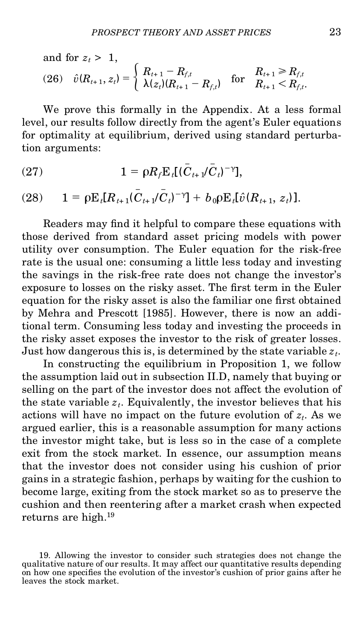and for  $z_t > 1$ ,  $(26) \quad \hat{v}(R_{t+1},z_t) = \left\{ \begin{array}{ll} R_{t+1}-R_{f,t} & \text{for} \quad R_{t+1} \geq R_{f,t} \ \lambda(z_t)(R_{t+1}-R_{f,t}) & \text{for} \quad R_{t+1} < R_{f,t}. \end{array} \right.$ 

We prove this formally in the Appendix. At a less formal level, our results follow directly from the agent's Euler equations for optimality at equilibrium, derived using standard perturbation arguments:

(27) 
$$
1 = \rho R_f E_t [(\bar{C}_{t+1}/\bar{C}_t)^{-\gamma}],
$$

$$
(28) \t1 = \rho E_t[R_{t+1}(\bar{C}_{t+1}/\bar{C}_t)^{-\gamma}] + b_0 \rho E_t[\hat{v}(R_{t+1}, z_t)].
$$

Readers may find it helpful to compare these equations with those derived from standard asset pricing models with power utility over consumption. The Euler equation for the risk-free rate is the usual one: consuming a little less today and investing the savings in the risk-free rate does not change the investor's exposure to losses on the risky asset. The first term in the Euler equation for the risky asset is also the familiar one first obtained by Mehra and Prescott [1985]. However, there is now an additional term. Consuming less today and investing the proceeds in the risky asset exposes the investor to the risk of greater losses. Just how dangerous this is, is determined by the state variable *zt*.

In constructing the equilibrium in Proposition 1, we follow the assumption laid out in subsection II.D, namely that buying or selling on the part of the investor does not affect the evolution of the state variable  $z_t$ . Equivalently, the investor believes that his actions will have no impact on the future evolution of  $z_t$ . As we argued earlier, this is a reasonable assumption for many actions the investor might take, but is less so in the case of a complete exit from the stock market. In essence, our assumption means that the investor does not consider using his cushion of prior gains in a strategic fashion, perhaps by waiting for the cushion to become large, exiting from the stock market so as to preserve the cushion and then reentering after a market crash when expected returns are high.<sup>19</sup>

<sup>19.</sup> Allowing the investor to consider such strategies does not change the qualitative nature of our results. It may affect our quantitative results depending on how one specifies the evolution of the investor's cushion of prior gains after he leaves the stock market.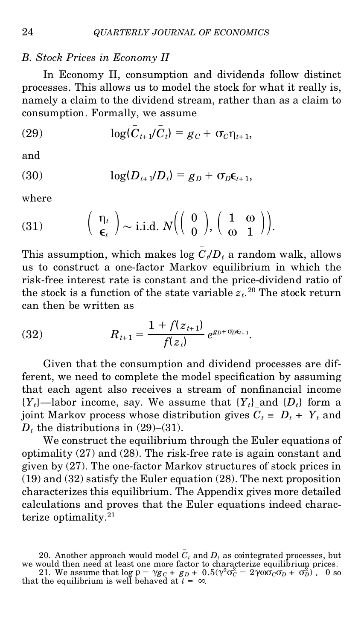#### *B. Stock Prices in Economy II*

In Economy II, consumption and dividends follow distinct processes. This allows us to model the stock for what it really is, namely a claim to the dividend stream, rather than as a claim to consumption. Formally, we assume

(29) 
$$
\log(\bar{C}_{t+1}/\bar{C}_t) = g_C + \sigma_C \eta_{t+1},
$$

and

(30) 
$$
\log(D_{t+1}/D_t) = g_D + \sigma_D \epsilon_{t+1},
$$

where

(31) 
$$
\begin{pmatrix} \eta_t \\ \epsilon_t \end{pmatrix} \sim
$$
 i.i.d.  $N \begin{pmatrix} 0 \\ 0 \end{pmatrix}, \begin{pmatrix} 1 & \omega \\ \omega & 1 \end{pmatrix}$ .

This assumption, which makes log  $\bar{C}_t/D_t$  a random walk, allows us to construct a one-factor Markov equilibrium in which the risk-free interest rate is constant and the price-dividend ratio of the stock is a function of the state variable  $z_t$ <sup>20</sup> The stock return can then be written as

(32) 
$$
R_{t+1} = \frac{1 + f(z_{t+1})}{f(z_t)} e^{g p + \sigma p \epsilon_{t+1}}.
$$

Given that the consumption and dividend processes are different, we need to complete the model specification by assuming that each agent also receives a stream of nonfinancial income  ${Y_t}$ —labor income, say. We assume that  ${Y_t}$  and  ${D_t}$  form a joint Markov process whose distribution gives  $\overline{C}_t = D_t + Y_t$  and  $D_t$  the distributions in (29)–(31).

We construct the equilibrium through the Euler equations of optimality (27) and (28). The risk-free rate is again constant and given by (27). The one-factor Markov structures of stock prices in (19) and (32) satisfy the Euler equation (28). The next proposition characterizes this equilibrium. The Appendix gives more detailed calculations and proves that the Euler equations indeed characterize optimality.<sup>21</sup>

<sup>20.</sup> Another approach would model  $\bar{C}_t$  and  $D_t$  as cointegrated processes, but we would then need at least one more factor to characterize equilibrium prices.

<sup>21.</sup> We assume that  $\log \rho - \gamma g_C + g_D + 0.5(\gamma^2 \sigma_C^2 - 2\gamma \omega \sigma_C \sigma_D + \sigma_D^2)$ , 0 so that the equilibrium is well behaved at  $t = \infty$ .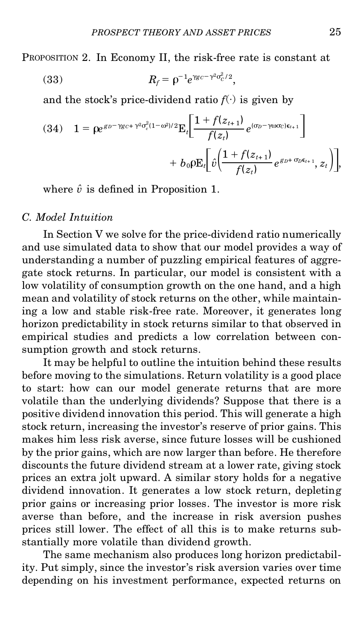PROPOSITION 2. In Economy II, the risk-free rate is constant at

(33) 
$$
R_f = \rho^{-1} e^{\gamma g_c - \gamma^2 \sigma_c^2 / 2},
$$

and the stock's price-dividend ratio  $f(·)$  is given by

$$
(34) \quad 1 = \rho e^{g_D - \gamma g_{C^+} \gamma^2 \sigma_c^2 (1 - \omega^2)/2} \mathbf{E}_t \left[ \frac{1 + f(z_{t+1})}{f(z_t)} e^{(\sigma_D - \gamma \omega \sigma_C) \epsilon_{t+1}} \right] \\ + b_0 \rho \mathbf{E}_t \left[ \hat{v} \left( \frac{1 + f(z_{t+1})}{f(z_t)} e^{g_D + \sigma_D \epsilon_{t+1}}, z_t \right) \right],
$$

where  $\hat{v}$  is defined in Proposition 1.

#### *C. Model Intuition*

In Section V we solve for the price-dividend ratio numerically and use simulated data to show that our model provides a way of understanding a number of puzzling empirical features of aggre gate stock returns. In particular, our model is consistent with a low volatility of consumption growth on the one hand, and a high mean and volatility of stock returns on the other, while maintaining a low and stable risk-free rate. Moreover, it generates long horizon predictability in stock returns similar to that observed in empirical studies and predicts a low correlation between con sumption growth and stock returns.

It may be helpful to outline the intuition behind these results before moving to the simulations. Return volatility is a good place to start: how can our model generate returns that are more volatile than the underlying dividends? Suppose that there is a positive dividend innovation this period. This will generate a high stock return, increasing the investor's reserve of prior gains. This makes him less risk averse, since future losses will be cushioned by the prior gains, which are now larger than before. He therefore discounts the future dividend stream at a lower rate, giving stock prices an extra jolt upward. A similar story holds for a negative dividend innovation. It generates a low stock return, depleting prior gains or increasing prior losses. The investor is more risk averse than before, and the increase in risk aversion pushes prices still lower. The effect of all this is to make returns sub stantially more volatile than dividend growth.

The same mechanism also produces long horizon predictability. Put simply, since the investor's risk aversion varies over time depending on his investment performance, expected returns on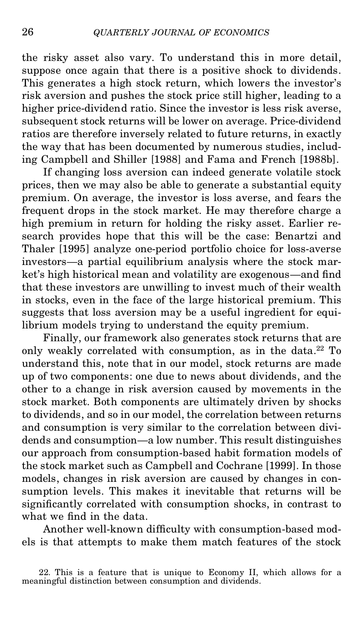the risky asset also vary. To understand this in more detail, suppose once again that there is a positive shock to dividends. This generates a high stock return, which lowers the investor's risk aversion and pushes the stock price still higher, leading to a higher price-dividend ratio. Since the investor is less risk averse, subsequent stock returns will be lower on average. Price-dividend ratios are therefore inversely related to future returns, in exactly the way that has been documented by numerous studies, including Campbell and Shiller [1988] and Fama and French [1988b].

If changing loss aversion can indeed generate volatile stock prices, then we may also be able to generate a substantial equity premium. On average, the investor is loss averse, and fears the frequent drops in the stock market. He may therefore charge a high premium in return for holding the risky asset. Earlier re search provides hope that this will be the case: Benartzi and Thaler [1995] analyze one-period portfolio choice for loss-averse investors—a partial equilibrium analysis where the stock mar ket's high historical mean and volatility are exogenous—and find that these investors are unwilling to invest much of their wealth in stocks, even in the face of the large historical premium. This suggests that loss aversion may be a useful ingredient for equilibrium models trying to understand the equity premium.

Finally, our framework also generates stock returns that are only weakly correlated with consumption, as in the data.<sup>22</sup> To understand this, note that in our model, stock returns are made up of two components: one due to news about dividends, and the other to a change in risk aversion caused by movements in the stock market. Both components are ultimately driven by shocks to dividends, and so in our model, the correlation between returns and consumption is very similar to the correlation between divi dends and consumption—a low number. This result distinguishes our approach from consumption-based habit formation models of the stock market such as Campbell and Cochrane [1999]. In those models, changes in risk aversion are caused by changes in con sumption levels. This makes it inevitable that returns will be significantly correlated with consumption shocks, in contrast to what we find in the data.

Another well-known difficulty with consumption-based models is that attempts to make them match features of the stock

<sup>22.</sup> This is <sup>a</sup> feature that is unique to Economy II, which allows for <sup>a</sup> meaningful distinction between consumption and dividends.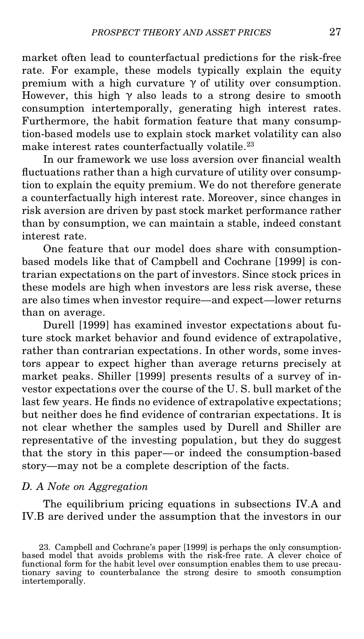market often lead to counterfactual predictions for the risk-free rate. For example, these models typically explain the equity premium with a high curvature  $\gamma$  of utility over consumption. However, this high  $\gamma$  also leads to a strong desire to smooth consumption intertemporally, generating high interest rates. Furthermore, the habit formation feature that many consumption-based models use to explain stock market volatility can also make interest rates counterfactually volatile.<sup>23</sup>

In our framework we use loss aversion over financial wealth fluctuations rather than a high curvature of utility over consumption to explain the equity premium. We do not therefore generate a counterfactually high interest rate. Moreover, since changes in risk aversion are driven by past stock market performance rather than by consumption, we can maintain a stable, indeed constant interest rate.

One feature that our model does share with consumption based models like that of Campbell and Cochrane [1999] is contrarian expectations on the part of investors. Since stock prices in these models are high when investors are less risk averse, these are also times when investor require—and expect—lower returns than on average.

Durell [1999] has examined investor expectations about future stock market behavior and found evidence of extrapolative, rather than contrarian expectations. In other words, some investors appear to expect higher than average returns precisely at market peaks. Shiller [1999] presents results of a survey of in vestor expectations over the course of the U. S. bull market of the last few years. He finds no evidence of extrapolative expectations; but neither does he find evidence of contrarian expectations. It is not clear whether the samples used by Durell and Shiller are representative of the investing population, but they do suggest that the story in this paper—or indeed the consumption-based story—may not be a complete description of the facts.

#### *D. A Note on Aggregation*

The equilibrium pricing equations in subsections IV.A and IV.B are derived under the assumption that the investors in our

<sup>23.</sup> Campbell and Cochrane's paper [1999] is perhaps the only consumption- based model that avoids problems with the risk-free rate. <sup>A</sup> clever choice of functional form for the habit level over consumption enables them touse precau tionary saving to counterbalance the strong desire to smooth consumption intertemporally.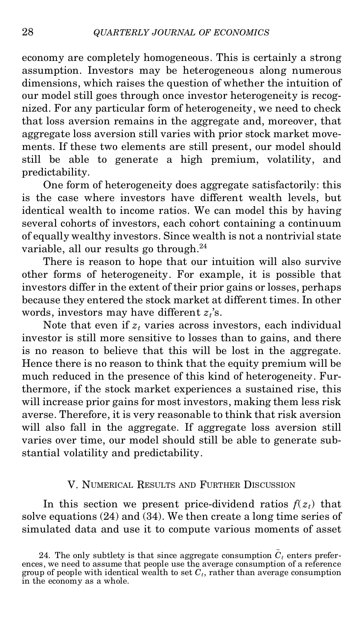economy are completely homogeneous. This is certainly a strong assumption. Investors may be heterogeneous along numerous dimensions, which raises the question of whether the intuition of our model still goes through once investor heterogeneity is recog nized. For any particular form of heterogeneity, we need to check that loss aversion remains in the aggregate and, moreover, that aggregate loss aversion still varies with prior stock market move ments. If these two elements are still present, our model should still be able to generate a high premium, volatility, and predictability.

One form of heterogeneity does aggregate satisfactorily: this is the case where investors have different wealth levels, but identical wealth to income ratios. We can model this by having several cohorts of investors, each cohort containing a continuum of equally wealthy investors. Since wealth is not a nontrivial state variable, all our results go through.<sup>24</sup>

There is reason to hope that our intuition will also survive other forms of heterogeneity. For example, it is possible that investors differ in the extent of their prior gains or losses, perhaps because they entered the stock market at different times. In other words, investors may have different *z<sup>t</sup>* 's.

Note that even if  $z_t$  varies across investors, each individual investor is still more sensitive to losses than to gains, and there is no reason to believe that this will be lost in the aggregate. Hence there is no reason to think that the equity premium will be much reduced in the presence of this kind of heterogeneity. Furthermore, if the stock market experiences a sustained rise, this will increase prior gains for most investors, making them less risk averse. Therefore, it is very reasonable to think that risk aversion will also fall in the aggregate. If aggregate loss aversion still varies over time, our model should still be able to generate sub stantial volatility and predictability.

#### V. NUMERICAL RESULTS AND FURTHER DISCUSSION

In this section we present price-dividend ratios  $f(z_t)$  that solve equations (24) and (34). We then create a long time series of simulated data and use it to compute various moments of asset

<sup>24.</sup> The only subtlety is that since aggregate consumption  $C_t$  enters preferences, we need to assume that people use the average consumption of a reference  $g_{\text{row}}$  of people with identical wealth to set  $C_t$ , rather than average consumption in the economy as a whole.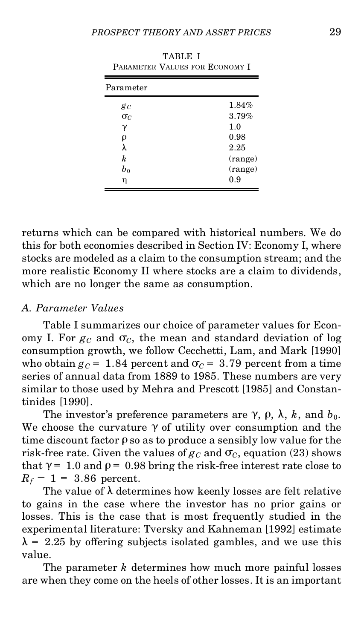| Parameter      |         |
|----------------|---------|
| gc             | 1.84%   |
| $\sigma_C$     | 3.79%   |
| γ              | 1.0     |
| ρ              | 0.98    |
| λ              | 2.25    |
| k              | (range) |
| b <sub>0</sub> | (range) |
| η              | 0.9     |

TABLE I PARAMETER VALUES FOR ECONOMY I

returns which can be compared with historical numbers. We do this for both economies described in Section IV: Economy I, where stocks are modeled as a claim to the consumption stream; and the more realistic Economy II where stocks are a claim to dividends, which are no longer the same as consumption.

#### *A. Parameter Values*

Table I summarizes our choice of parameter values for Econ omy I. For  $g_c$  and  $\sigma_c$ , the mean and standard deviation of log consumption growth, we follow Cecchetti, Lam, and Mark [1990] who obtain  $g_C = 1.84$  percent and  $\sigma_C = 3.79$  percent from a time series of annual data from 1889 to 1985. These numbers are very similar to those used by Mehra and Prescott [1985] and Constantinides [1990].

The investor's preference parameters are  $\gamma$ ,  $\rho$ ,  $\lambda$ ,  $k$ , and  $b_0$ . We choose the curvature  $\gamma$  of utility over consumption and the time discount factor  $\rho$  so as to produce a sensibly low value for the risk-free rate. Given the values of  $g_C$  and  $\sigma_C$ , equation (23) shows that  $\gamma$  = 1.0 and  $\rho$  = 0.98 bring the risk-free interest rate close to  $R_f$  – 1 = 3.86 percent.

The value of  $\lambda$  determines how keenly losses are felt relative to gains in the case where the investor has no prior gains or losses. This is the case that is most frequently studied in the experimental literature: Tversky and Kahneman [1992] estimate  $\lambda$  = 2.25 by offering subjects isolated gambles, and we use this value.

The parameter *k* determines how much more painful losses are when they come on the heels of other losses. It is an important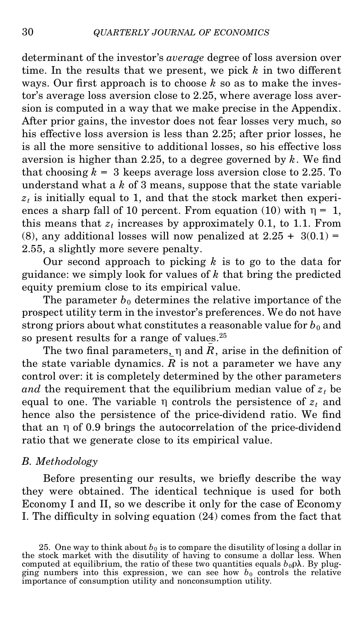determinant of the investor's *average* degree of loss aversion over time. In the results that we present, we pick *k* in two different ways. Our first approach is to choose  $k$  so as to make the investor's average loss aversion close to 2.25, where average loss aver sion is computed in a way that we make precise in the Appendix. After prior gains, the investor does not fear losses very much, so his effective loss aversion is less than 2.25; after prior losses, he is all the more sensitive to additional losses, so his effective loss aversion is higher than 2.25, to a degree governed by  $k$ . We find that choosing  $k = 3$  keeps average loss aversion close to 2.25. To understand what a *k* of 3 means, suppose that the state variable  $z<sub>t</sub>$  is initially equal to 1, and that the stock market then experiences a sharp fall of 10 percent. From equation (10) with  $\eta = 1$ , this means that  $z_t$  increases by approximately 0.1, to 1.1. From (8), any additional losses will now penalized at  $2.25 + 3(0.1) =$ 2.55, a slightly more severe penalty.

Our second approach to picking *k* is to go to the data for guidance: we simply look for values of *k* that bring the predicted equity premium close to its empirical value.

The parameter  $b_0$  determines the relative importance of the prospect utility term in the investor's preferences. We do not have strong priors about what constitutes a reasonable value for  $b_0$  and so present results for a range of values.<sup>25</sup>

The two final parameters,  $\eta$  and  $\bar{R}$ , arise in the definition of the state variable dynamics.  $\overline{R}$  is not a parameter we have any control over: it is completely determined by the other parameters and the requirement that the equilibrium median value of  $z_t$  be equal to one. The variable  $\eta$  controls the persistence of  $z_t$  and hence also the persistence of the price-dividend ratio. We find that an  $\eta$  of 0.9 brings the autocorrelation of the price-dividend ratio that we generate close to its empirical value.

#### *B. Methodology*

Before presenting our results, we briefly describe the way they were obtained. The identical technique is used for both Economy I and II, so we describe it only for the case of Economy I. The difficulty in solving equation  $(24)$  comes from the fact that

<sup>25.</sup> One way to think about  $b_0$  is to compare the disutility of losing a dollar in the stock market with the disutility of having to consume a dollar less. When computed at equilibrium, the ratio of these two quantities ging numbers into this expression, we can see how  $b_0$  controls the relative importance of consumption utility and nonconsumption utility.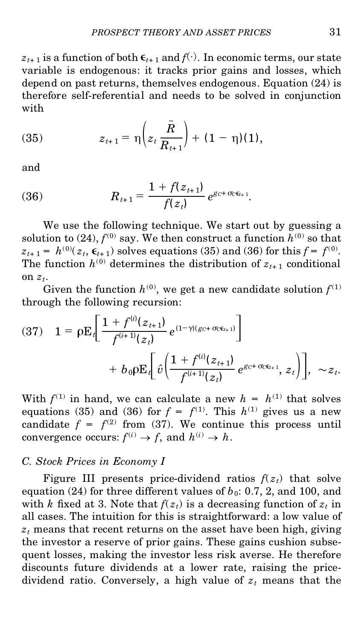$z_{t+1}$  is a function of both  $\epsilon_{t+1}$  and  $f(\cdot)$ . In economic terms, our state variable is endogenous: it tracks prior gains and losses, which depend on past returns, themselves endogenous. Equation (24) is therefore self-referential and needs to be solved in conjunction with

(35) 
$$
z_{t+1} = \eta \left( z_t \frac{\bar{R}}{R_{t+1}} \right) + (1 - \eta)(1),
$$

and

(36) 
$$
R_{t+1} = \frac{1 + f(z_{t+1})}{f(z_t)} e^{g c + \sigma c \epsilon_{t+1}}.
$$

We use the following technique. We start out by guessing a solution to  $(24)$ ,  $f^{(0)}$  say. We then construct a function  $h^{(0)}$  so that  $z_{t+1} = h^{(0)}(z_t, \epsilon_{t+1})$  solves equations (35) and (36) for this  $f = f^{(0)}$ . The function  $h^{(0)}$  determines the distribution of  $z_{t+1}$  conditional

on  $z_t$ .<br>Given the function  $h^{(0)}$ , we get a new candidate solution  $f^{(1)}$ through the following recursion:

$$
(37) \quad 1 = \rho E_t \bigg[ \frac{1 + f^{(i)}(z_{t+1})}{f^{(i+1)}(z_t)} e^{(1-\gamma)(g_{C} + \sigma_{C}\epsilon_{t+1})} \bigg] + b_0 \rho E_t \bigg[ \hat{v} \bigg( \frac{1 + f^{(i)}(z_{t+1})}{f^{(i+1)}(z_t)} e^{g_{C} + \sigma_{C}\epsilon_{t+1}}, z_t \bigg) \bigg], \quad z_t.
$$

With  $f^{(1)}$  in hand, we can calculate a new  $h = h^{(1)}$  that solves equations (35) and (36) for  $f = f^{(1)}$ . This  $h^{(1)}$  gives us a new candidate  $f = f^{(2)}$  from (37). We continue this process until convergence occurs:  $f^{(i)} \rightarrow f$ , and  $h^{(i)} \rightarrow h$ .

#### *C. Stock Prices in Economy I*

Figure III presents price-dividend ratios  $f(z_t)$  that solve equation (24) for three different values of  $b_0$ : 0.7, 2, and 100, and with *k* fixed at 3. Note that  $f(z_t)$  is a decreasing function of  $z_t$  in all cases. The intuition for this is straightforward: a low value of  $z_t$  means that recent returns on the asset have been high, giving the investor a reserve of prior gains. These gains cushion subse quent losses, making the investor less risk averse. He therefore discounts future dividends at a lower rate, raising the price dividend ratio. Conversely, a high value of  $z_t$  means that the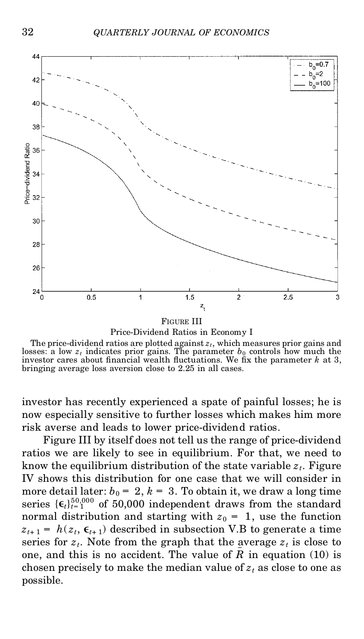

Price-Dividend Ratios in Economy I

The price-dividend ratios are plotted against *zt*, which measures prior gains and losses: a low  $z_t$  indicates prior gains. The parameter  $b_0$  controls how much the investor cares about financial wealth fluctuations. We fix the parameter  $k$  at 3, bringing average loss aversion close to 2.25 in all cases.

investor has recently experienced a spate of painful losses; he is now especially sensitive to further losses which makes him more risk averse and leads to lower price-dividend ratios.

Figure III by itself does not tell us the range of price-dividend ratios we are likely to see in equilibrium. For that, we need to know the equilibrium distribution of the state variable  $z_t$ . Figure IV shows this distribution for one case that we will consider in more detail later:  $b_0 = 2$ ,  $k = 3$ . To obtain it, we draw a long time series  ${\{\epsilon_i\}_{i=1}^{50,000}}$  of 50,000 independent draws from the standard normal distribution and starting with  $z_0 = 1$ , use the function  $z_{t+1} = h(z_t, \epsilon_{t+1})$  described in subsection V.B to generate a time series for  $z_t$ . Note from the graph that the average  $z_t$  is close to one, and this is no accident. The value of  $\overline{R}$  in equation (10) is chosen precisely to make the median value of  $z<sub>t</sub>$  as close to one as possible.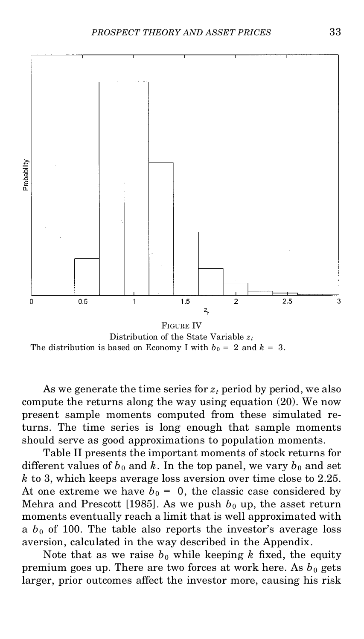

Distribution of the State Variable *z<sup>t</sup>* The distribution is based on Economy I with  $b_0 = 2$  and  $k = 3$ .

As we generate the time series for  $z_t$  period by period, we also compute the returns along the way using equation (20). We now present sample moments computed from these simulated returns. The time series is long enough that sample moments should serve as good approximations to population moments.

Table II presents the important moments of stock returns for different values of  $b_0$  and  $k$ . In the top panel, we vary  $b_0$  and set *k* to 3, which keeps average loss aversion over time close to 2.25. At one extreme we have  $b_0 = 0$ , the classic case considered by Mehra and Prescott [1985]. As we push  $b_0$  up, the asset return moments eventually reach a limit that is well approximated with a  $b_0$  of 100. The table also reports the investor's average loss aversion, calculated in the way described in the Appendix.

Note that as we raise  $b_0$  while keeping *k* fixed, the equity premium goes up. There are two forces at work here. As  $b_0$  gets larger, prior outcomes affect the investor more, causing his risk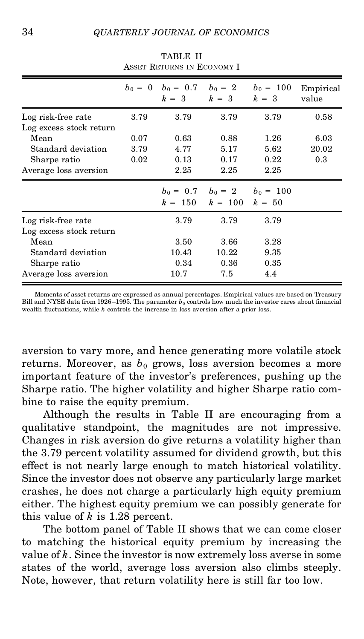|                                               |      | $b_0 = 0$ $b_0 = 0.7$ $b_0 = 2$ | $k = 3$ $k = 3$ $k = 3$      | $b_0 = 100$                       | Empirical<br>value |
|-----------------------------------------------|------|---------------------------------|------------------------------|-----------------------------------|--------------------|
| Log risk-free rate<br>Log excess stock return | 3.79 | 3.79                            | 3.79                         | 3.79                              | 0.58               |
| Mean                                          | 0.07 | 0.63                            | 0.88                         | 1.26                              | 6.03               |
| Standard deviation                            | 3.79 | 4.77                            | 5.17                         | 5.62                              | 20.02              |
| Sharpe ratio                                  | 0.02 | 0.13                            | 0.17                         | 0.22                              | 0.3                |
| Average loss aversion                         |      | 2.25                            | 2.25                         | 2.25                              |                    |
|                                               |      |                                 |                              | $b_0 = 0.7$ $b_0 = 2$ $b_0 = 100$ |                    |
|                                               |      |                                 | $k = 150$ $k = 100$ $k = 50$ |                                   |                    |
| Log risk-free rate                            |      | 3.79                            | 3.79                         | 3.79                              |                    |
| Log excess stock return                       |      |                                 |                              |                                   |                    |
| Mean                                          |      | 3.50                            | 3.66                         | 3.28                              |                    |
| Standard deviation                            |      | 10.43                           | 10.22                        | 9.35                              |                    |
| Sharpe ratio                                  |      | 0.34                            | 0.36                         | 0.35                              |                    |
| Average loss aversion                         |      | 10.7                            | 7.5                          | 4.4                               |                    |

TABLE II ASSET RETURNS IN ECONOMY I

Moments of asset returns are expressed as annual percentages. Empirical values are based on Treasury Bill and NYSE data from 1926–1995. The parameter  $b_0$  controls how much the investor cares about financial wealth fluctuations, while  $k$  controls the increase in loss aversion after a prior loss.

aversion to vary more, and hence generating more volatile stock returns. Moreover, as  $b_0$  grows, loss aversion becomes a more important feature of the investor's preferences, pushing up the Sharpe ratio. The higher volatility and higher Sharpe ratio com bine to raise the equity premium.

Although the results in Table II are encouraging from a qualitative standpoint, the magnitudes are not impressive. Changes in risk aversion do give returns a volatility higher than the 3.79 percent volatility assumed for dividend growth, but this effect is not nearly large enough to match historical volatility. Since the investor does not observe any particularly large market crashes, he does not charge a particularly high equity premium either. The highest equity premium we can possibly generate for this value of *k* is 1.28 percent.

The bottom panel of Table II shows that we can come closer to matching the historical equity premium by increasing the value of *k*. Since the investor is now extremely loss averse in some states of the world, average loss aversion also climbs steeply. Note, however, that return volatility here is still far too low.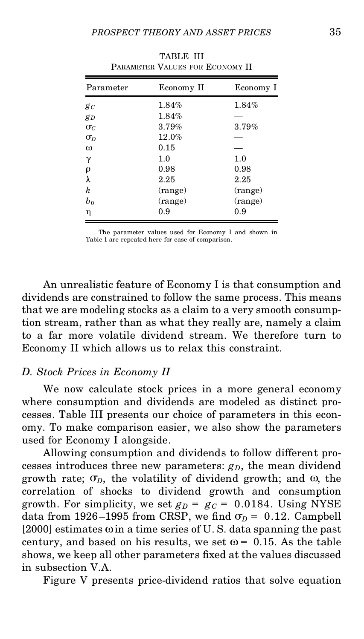| Parameter        | Economy II | Economy I |
|------------------|------------|-----------|
| $_{\it gc}$      | 1.84%      | 1.84%     |
| $\mathfrak{g}_D$ | 1.84%      |           |
| $\sigma_c$       | 3.79%      | 3.79%     |
| $\sigma_D$       | 12.0%      |           |
| $\omega$         | 0.15       |           |
| γ                | 1.0        | 1.0       |
| ρ                | 0.98       | 0.98      |
| $\lambda$        | 2.25       | 2.25      |
| $\boldsymbol{k}$ | (range)    | (range)   |
| $b_0$            | (range)    | (range)   |
| η                | 0.9        | 0.9       |

TABLE III PARAMETER VALUES FOR ECONOMY II

The parameter values used for Economy I and shown in Table I are repeated here for ease of comparison.

An unrealistic feature of Economy I is that consumption and dividends are constrained to follow the same process. This means that we are modeling stocks as a claim to a very smooth consumption stream, rather than as what they really are, namely a claim to a far more volatile dividend stream. We therefore turn to Economy II which allows us to relax this constraint.

#### *D. Stock Prices in Economy II*

We now calculate stock prices in a more general economy where consumption and dividends are modeled as distinct processes. Table III presents our choice of parameters in this econ omy. To make comparison easier, we also show the parameters used for Economy I alongside.

Allowing consumption and dividends to follow different pro cesses introduces three new parameters:  $g<sub>D</sub>$ , the mean dividend growth rate;  $\sigma_p$ , the volatility of dividend growth; and  $\omega$ , the correlation of shocks to dividend growth and consumption growth. For simplicity, we set  $g_D = g_C = 0.0184$ . Using NYSE data from 1926–1995 from CRSP, we find  $\sigma_p$  = 0.12. Campbell [2000] estimates  $\omega$  in a time series of U.S. data spanning the past century, and based on his results, we set  $\omega$  = 0.15. As the table shows, we keep all other parameters fixed at the values discussed in subsection V.A.

Figure V presents price-dividend ratios that solve equation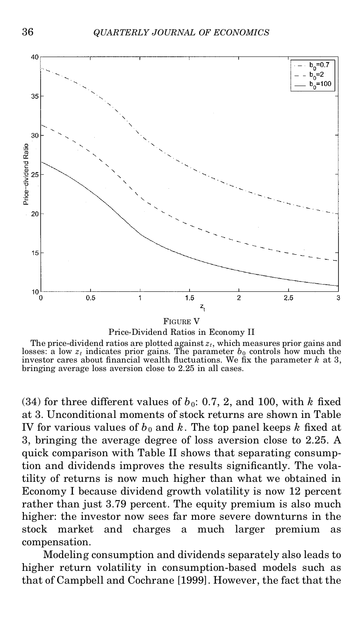

Price-Dividend Ratios in Economy II

The price-dividend ratios are plotted against *zt*, which measures prior gains and losses: a low  $z_t$  indicates prior gains. The parameter  $b_0$  controls how much the investor cares about financial wealth fluctuations. We fix the parameter  $k$  at 3, bringing average loss aversion close to 2.25 in all cases.

(34) for three different values of  $b_0$ : 0.7, 2, and 100, with *k* fixed at 3. Unconditional moments of stock returns are shown in Table IV for various values of  $b_0$  and  $k$ . The top panel keeps  $k$  fixed at 3, bringing the average degree of loss aversion close to 2.25. A quick comparison with Table II shows that separating consumption and dividends improves the results signicantly. The volatility of returns is now much higher than what we obtained in Economy I because dividend growth volatility is now 12 percent rather than just 3.79 percent. The equity premium is also much higher: the investor now sees far more severe downturns in the stock market and charges a much larger premium as compensation.

Modeling consumption and dividends separately also leads to higher return volatility in consumption-based models such as that of Campbell and Cochrane [1999]. However, the fact that the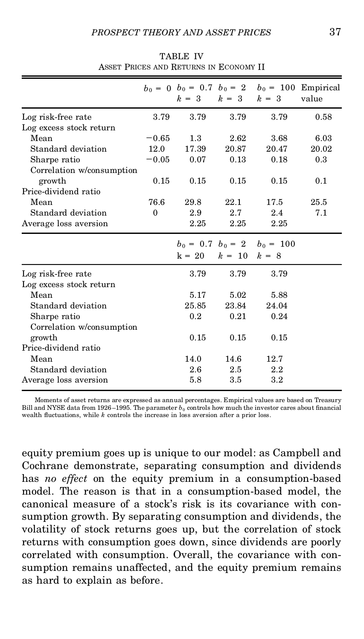|                           |          |                           |       | $b_0 = 0$ $b_0 = 0.7$ $b_0 = 2$ $b_0 = 100$ Empirical |       |
|---------------------------|----------|---------------------------|-------|-------------------------------------------------------|-------|
|                           |          |                           |       | $k = 3$ $k = 3$ $k = 3$                               | value |
|                           |          |                           |       |                                                       |       |
| Log risk-free rate        | 3.79     | 3.79                      | 3.79  | 3.79                                                  | 0.58  |
| Log excess stock return   |          |                           |       |                                                       |       |
| Mean                      | $-0.65$  | 1.3                       | 2.62  | 3.68                                                  | 6.03  |
| Standard deviation        | 12.0     | 17.39                     | 20.87 | 20.47                                                 | 20.02 |
| Sharpe ratio              | $-0.05$  | 0.07                      | 0.13  | 0.18                                                  | 0.3   |
| Correlation w/consumption |          |                           |       |                                                       |       |
| growth                    | 0.15     | 0.15                      | 0.15  | 0.15                                                  | 0.1   |
| Price-dividend ratio      |          |                           |       |                                                       |       |
| Mean                      | 76.6     | 29.8                      | 22.1  | 17.5                                                  | 25.5  |
| Standard deviation        | $\Omega$ | 2.9                       | 2.7   | 2.4                                                   | 7.1   |
| Average loss aversion     |          | $2.25\,$                  | 2.25  | 2.25                                                  |       |
|                           |          |                           |       | $b_0 = 0.7$ $b_0 = 2$ $b_0 = 100$                     |       |
|                           |          | $k = 20$ $k = 10$ $k = 8$ |       |                                                       |       |
|                           |          |                           |       |                                                       |       |
| Log risk-free rate        |          | 3.79                      | 3.79  | 3.79                                                  |       |
| Log excess stock return   |          |                           |       |                                                       |       |
| Mean                      |          | 5.17                      | 5.02  | 5.88                                                  |       |
| Standard deviation        |          | 25.85                     | 23.84 | 24.04                                                 |       |
| Sharpe ratio              |          | 0.2                       | 0.21  | 0.24                                                  |       |
| Correlation w/consumption |          |                           |       |                                                       |       |
| growth                    |          | 0.15                      | 0.15  | 0.15                                                  |       |
| Price-dividend ratio      |          |                           |       |                                                       |       |
| Mean                      |          | 14.0                      | 14.6  | 12.7                                                  |       |
| Standard deviation        |          | 2.6                       | 2.5   | 2.2                                                   |       |
| Average loss aversion     |          | 5.8                       | 3.5   | 3.2                                                   |       |
|                           |          |                           |       |                                                       |       |

TABLE IV ASSET PRICES AND RETURNS IN ECONOMY II

Moments of asset returns are expressed as annual percentages. Empirical values are based on Treasury Bill and NYSE data from 1926–1995. The parameter  $b_0$  controls how much the investor cares about financial wealth fluctuations, while *k* controls the increase in loss aversion after a prior loss.

equity premium goes up is unique to our model: as Campbell and Cochrane demonstrate, separating consumption and dividends has *no effect* on the equity premium in a consumption-based model. The reason is that in a consumption-based model, the canonical measure of a stock's risk is its covariance with con sumption growth. By separating consumption and dividends, the volatility of stock returns goes up, but the correlation of stock returns with consumption goes down, since dividends are poorly correlated with consumption. Overall, the covariance with con sumption remains unaffected, and the equity premium remains as hard to explain as before.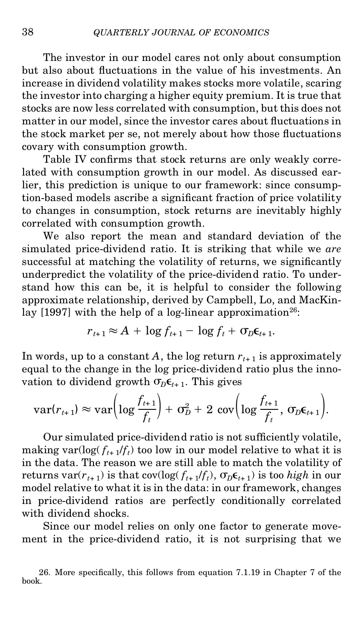The investor in our model cares not only about consumption but also about fluctuations in the value of his investments. An increase in dividend volatility makes stocks more volatile, scaring the investor into charging a higher equity premium. It is true that stocks are now less correlated with consumption, but this does not matter in our model, since the investor cares about fluctuations in the stock market per se, not merely about how those fluctuations covary with consumption growth.

Table IV confirms that stock returns are only weakly correlated with consumption growth in our model. As discussed earlier, this prediction is unique to our framework: since consumption-based models ascribe a signicant fraction of price volatility to changes in consumption, stock returns are inevitably highly correlated with consumption growth.

We also report the mean and standard deviation of the simulated price-dividend ratio. It is striking that while we *are* successful at matching the volatility of returns, we significantly underpredict the volatility of the price-dividend ratio. To under stand how this can be, it is helpful to consider the following approximate relationship, derived by Campbell, Lo, and MacKinlay [1997] with the help of a log-linear approximation 26:

$$
r_{t+1} \approx A + \log f_{t+1} - \log f_t + \sigma_D \epsilon_{t+1}.
$$

In words, up to a constant A, the log return  $r_{t+1}$  is approximately equal to the change in the log price-dividend ratio plus the inno vation to dividend growth  $\sigma_{\overline{D}} \epsilon_{t+1}$ . This gives

$$
\text{var}(r_{t+1}) \approx \text{var}\bigg(\log \frac{f_{t+1}}{f_t}\bigg) + \sigma_D^2 + 2 \text{ cov}\bigg(\log \frac{f_{t+1}}{f_t}, \sigma_D \epsilon_{t+1}\bigg).
$$

Our simulated price-dividend ratio is not sufficiently volatile, making var( $log(f_{t+1}/f_t)$  too low in our model relative to what it is in the data. The reason we are still able to match the volatility of returns var $(r_{t+1})$  is that cov(log( $f_{t+1}/f_{t}$ ),  $\sigma_{D} \epsilon_{t+1}$ ) is too *high* in our model relative to what it is in the data: in our framework, changes in price-dividend ratios are perfectly conditionally correlated with dividend shocks.

Since our model relies on only one factor to generate move ment in the price-dividend ratio, it is not surprising that we

<sup>26.</sup> More specifically, this follows from equation 7.1.19 in Chapter 7 of the book.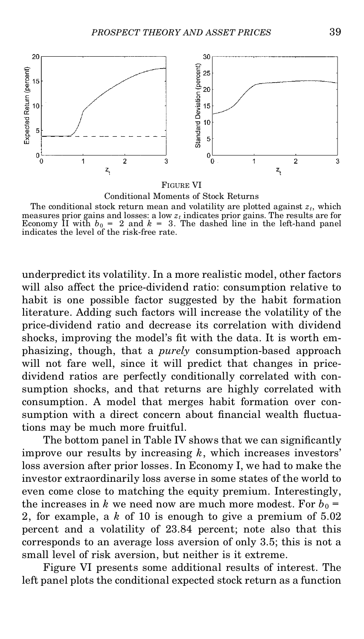

Conditional Moments of Stock Returns

The conditional stock return mean and volatility are plotted against  $z_t$ , which measures prior gains and losses: a low  $z_t$  indicates prior gains. The results are for Economy II with  $b_0 = 2$  and  $k = 3$ . The dashed line indicates the level of the risk-free rate.

underpredict its volatility. In a more realistic model, other factors will also affect the price-dividend ratio: consumption relative to habit is one possible factor suggested by the habit formation literature. Adding such factors will increase the volatility of the price-dividend ratio and decrease its correlation with dividend shocks, improving the model's fit with the data. It is worth emphasizing, though, that a *purely* consumption-based approach will not fare well, since it will predict that changes in price dividend ratios are perfectly conditionally correlated with con sumption shocks, and that returns are highly correlated with consumption. A model that merges habit formation over con sumption with a direct concern about financial wealth fluctuations may be much more fruitful.

The bottom panel in Table IV shows that we can significantly improve our results by increasing *k*, which increases investors' loss aversion after prior losses. In Economy I, we had to make the investor extraordinarily loss averse in some states of the world to even come close to matching the equity premium. Interestingly, the increases in *k* we need now are much more modest. For  $b_0 =$ 2, for example, a *k* of 10 is enough to give a premium of 5.02 percent and a volatility of 23.84 percent; note also that this corresponds to an average loss aversion of only 3.5; this is not a small level of risk aversion, but neither is it extreme.

Figure VI presents some additional results of interest. The left panel plots the conditional expected stock return as a function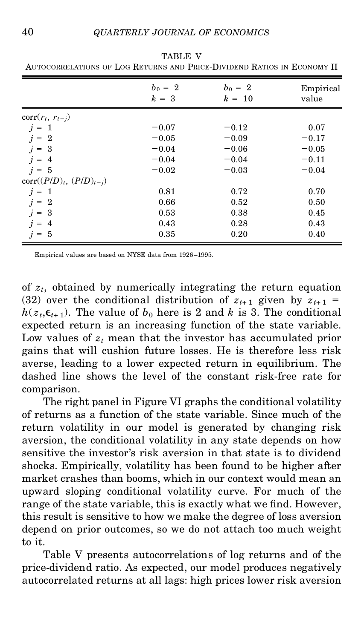|                               | $b_0 = 2$<br>$k = 3$ | $b_0 = 2$<br>$k = 10$ | Empirical<br>value |
|-------------------------------|----------------------|-----------------------|--------------------|
| $corr(r_t, r_{t-j})$          |                      |                       |                    |
| $i = 1$                       | $-0.07$              | $-0.12$               | 0.07               |
| $i = 2$                       | $-0.05$              | $-0.09$               | $-0.17$            |
| $i = 3$                       | $-0.04$              | $-0.06$               | $-0.05$            |
| $i = 4$                       | $-0.04$              | $-0.04$               | $-0.11$            |
| $i = 5$                       | $-0.02$              | $-0.03$               | $-0.04$            |
| corr $((P/D)_t, (P/D)_{t-i})$ |                      |                       |                    |
| $i = 1$                       | 0.81                 | 0.72                  | 0.70               |
| $i = 2$                       | 0.66                 | 0.52                  | 0.50               |
| $i = 3$                       | 0.53                 | 0.38                  | 0.45               |
| $i = 4$                       | 0.43                 | 0.28                  | 0.43               |
| $i = 5$                       | 0.35                 | 0.20                  | 0.40               |

TABLE V AUTOCORRELATIONS OF LOG RETURNS AND PRICE-DIVIDEND RATIOS IN ECONOMY II

Empirical values are based on NYSE data from 1926–1995.

of *zt*, obtained by numerically integrating the return equation (32) over the conditional distribution of  $z_{t+1}$  given by  $z_{t+1}$  =  $h(z_t, \epsilon_{t+1})$ . The value of  $b_0$  here is 2 and *k* is 3. The conditional expected return is an increasing function of the state variable. Low values of  $z_t$  mean that the investor has accumulated prior gains that will cushion future losses. He is therefore less risk averse, leading to a lower expected return in equilibrium. The dashed line shows the level of the constant risk-free rate for comparison.

The right panel in Figure VI graphs the conditional volatility of returns as a function of the state variable. Since much of the return volatility in our model is generated by changing risk aversion, the conditional volatility in any state depends on how sensitive the investor's risk aversion in that state is to dividend shocks. Empirically, volatility has been found to be higher after market crashes than booms, which in our context would mean an upward sloping conditional volatility curve. For much of the range of the state variable, this is exactly what we find. However, this result is sensitive to how we make the degree of loss aversion depend on prior outcomes, so we do not attach too much weight to it.

Table V presents autocorrelations of log returns and of the price-dividend ratio. As expected, our model produces negatively autocorrelated returns at all lags: high prices lower risk aversion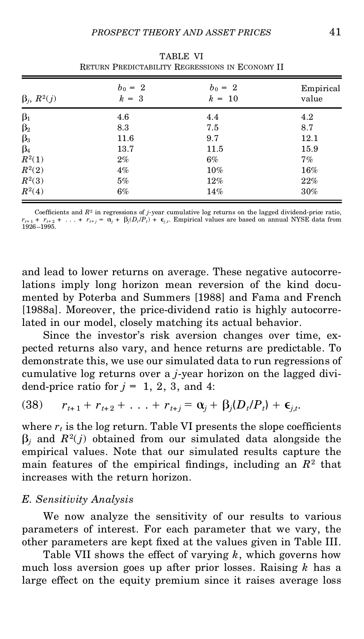| $\beta_j$ , $R^2(j)$                                        | $b_0 = 2$<br>$k = 3$ | $b_0 = 2$<br>$k = 10$ | Empirical<br>value |
|-------------------------------------------------------------|----------------------|-----------------------|--------------------|
| $\beta_1$                                                   | 4.6                  | 4.4                   | 4.2                |
| $\begin{matrix} \beta_2 \\ \beta_3 \\ \beta_4 \end{matrix}$ | 8.3                  | 7.5                   | 8.7                |
|                                                             | 11.6                 | 9.7                   | 12.1               |
|                                                             | 13.7                 | 11.5                  | 15.9               |
| $R^2(1)$                                                    | $2\%$                | $6\%$                 | 7%                 |
| $R^2(2)$                                                    | $4\%$                | $10\%$                | 16%                |
| $R^2(3)$                                                    | 5%                   | $12\%$                | 22%                |
| $R^2(4)$                                                    | 6%                   | 14%                   | 30%                |

TABLE VI RETURN PREDICTABILITY REGRESSIONS IN ECONOMY II

Coefficients and  $R<sup>2</sup>$  in regressions of *j*-year cumulative log returns on the lagged dividend-price ratio,  $r_{t+1} + r_{t+2} + \ldots + r_{t+j} = \alpha_j + \beta_j (D_t / P_t) + \epsilon_{j,t}$ . Empirical values are based on annual NYSE data from 1926–1995.

and lead to lower returns on average. These negative autocorrelations imply long horizon mean reversion of the kind docu mented by Poterba and Summers [1988] and Fama and French [1988a]. Moreover, the price-dividend ratio is highly autocorrelated in our model, closely matching its actual behavior.

Since the investor's risk aversion changes over time, ex pected returns also vary, and hence returns are predictable. To demonstrate this, we use our simulated data to run regressions of cumulative log returns over a *j*-year horizon on the lagged divi dend-price ratio for  $j = 1, 2, 3$ , and 4:

(38) 
$$
r_{t+1} + r_{t+2} + \ldots + r_{t+j} = \alpha_j + \beta_j (D_t/P_t) + \epsilon_{j,t}.
$$

where  $r_t$  is the log return. Table VI presents the slope coefficients  $\beta_j$  and  $R^2(j)$  obtained from our simulated data alongside the empirical values. Note that our simulated results capture the main features of the empirical findings, including an  $R<sup>2</sup>$  that increases with the return horizon.

#### *E. Sensitivity Analysis*

We now analyze the sensitivity of our results to various parameters of interest. For each parameter that we vary, the other parameters are kept fixed at the values given in Table III.

Table VII shows the effect of varying *k*, which governs how much loss aversion goes up after prior losses. Raising *k* has a large effect on the equity premium since it raises average loss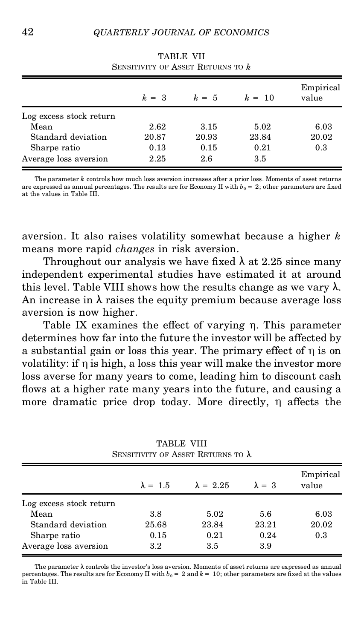|                         | $k = 3$ | $k = 5$ | $k = 10$ | Empirical<br>value |
|-------------------------|---------|---------|----------|--------------------|
| Log excess stock return |         |         |          |                    |
| Mean                    | 2.62    | 3.15    | 5.02     | 6.03               |
| Standard deviation      | 20.87   | 20.93   | 23.84    | 20.02              |
| Sharpe ratio            | 0.13    | 0.15    | 0.21     | 0.3                |
| Average loss aversion   | 2.25    | 2.6     | 3.5      |                    |

TABLE VII SENSITIVITY OF ASSET RETURNS TO *k*

The parameter *k* controls how much loss aversion increases after a prior loss. Moments of asset returns are expressed as annual percentages. The results are for Economy II with  $b_0 = 2$ ; other parameters are fixed at the values in Table III.

aversion. It also raises volatility somewhat because a higher *k* means more rapid *changes* in risk aversion.

Throughout our analysis we have fixed  $\lambda$  at 2.25 since many independent experimental studies have estimated it at around this level. Table VIII shows how the results change as we vary  $\lambda$ . An increase in  $\lambda$  raises the equity premium because average loss aversion is now higher.

Table IX examines the effect of varying n. This parameter determines how far into the future the investor will be affected by a substantial gain or loss this year. The primary effect of  $\eta$  is on volatility: if  $\eta$  is high, a loss this year will make the investor more loss averse for many years to come, leading him to discount cash flows at a higher rate many years into the future, and causing a more dramatic price drop today. More directly, n affects the

| SENSITIVITY OF ASSET RETURNS TO $\lambda$ |         |                                  |               |                    |
|-------------------------------------------|---------|----------------------------------|---------------|--------------------|
|                                           |         | $\lambda = 1.5$ $\lambda = 2.25$ | $\lambda = 3$ | Empirical<br>value |
| Log excess stock return                   |         |                                  |               |                    |
| Mean                                      | 3.8     | 5.02                             | 5.6           | 6.03               |
| Standard deviation                        | 25.68   | 23.84                            | 23.21         | 20.02              |
| Sharpe ratio                              | 0.15    | 0.21                             | 0.24          | 0.3                |
| Average loss aversion                     | $3.2\,$ | 3.5                              | 3.9           |                    |

TABLE VIII

The parameter  $\lambda$  controls the investor's loss aversion. Moments of asset returns are expressed as annual percentages. The results are for Economy II with  $b_0 = 2$  and  $k = 10$ ; other parameters are fixed at the values in Table III.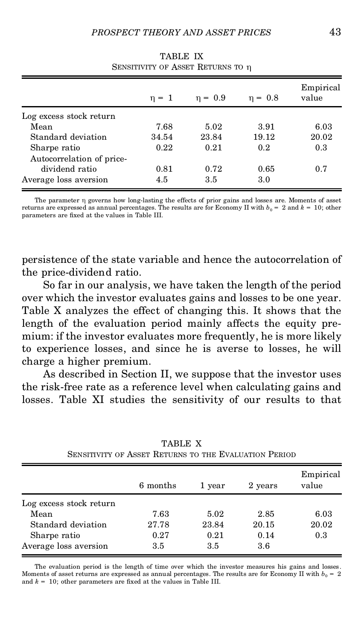|                           | $\eta = 1$ | $\eta = 0.9$ | $\eta = 0.8$ | Empirical<br>value |  |
|---------------------------|------------|--------------|--------------|--------------------|--|
| Log excess stock return   |            |              |              |                    |  |
| Mean                      | 7.68       | 5.02         | 3.91         | 6.03               |  |
| Standard deviation        | 34.54      | 23.84        | 19.12        | 20.02              |  |
| Sharpe ratio              | 0.22       | 0.21         | 0.2          | 0.3                |  |
| Autocorrelation of price- |            |              |              |                    |  |
| dividend ratio            | 0.81       | 0.72         | 0.65         | 0.7                |  |
| Average loss aversion     | 4.5        | 3.5          | 3.0          |                    |  |

TABLE IX SENSITIVITY OF ASSET RETURNS TO n

The parameter  $\eta$  governs how long-lasting the effects of prior gains and losses are. Moments of asset returns are expressed as annual percentages. The results are for Economy II with  $b_0 = 2$  and  $k = 10$ ; other parameters are fixed at the values in Table III.

persistence of the state variable and hence the autocorrelation of the price-dividend ratio.

So far in our analysis, we have taken the length of the period over which the investor evaluates gains and losses to be one year. Table X analyzes the effect of changing this. It shows that the length of the evaluation period mainly affects the equity pre mium: if the investor evaluates more frequently, he is more likely to experience losses, and since he is averse to losses, he will charge a higher premium.

As described in Section II, we suppose that the investor uses the risk-free rate as a reference level when calculating gains and losses. Table XI studies the sensitivity of our results to that

|                         | 6 months | 1 year | 2 years | Empirical<br>value |
|-------------------------|----------|--------|---------|--------------------|
| Log excess stock return |          |        |         |                    |
| Mean                    | 7.63     | 5.02   | 2.85    | 6.03               |
| Standard deviation      | 27.78    | 23.84  | 20.15   | 20.02              |
| Sharpe ratio            | 0.27     | 0.21   | 0.14    | 0.3                |
| Average loss aversion   | 3.5      | 3.5    | 3.6     |                    |

TABLE X SENSITIVITY OF ASSET RETURNS TO THE EVALUATION PERIOD

The evaluation period is the length of time over which the investor measures his gains and losses. Moments of asset returns are expressed as annual percentages. The results are for Economy II with  $b_0 = 2$ and  $k = 10$ ; other parameters are fixed at the values in Table III.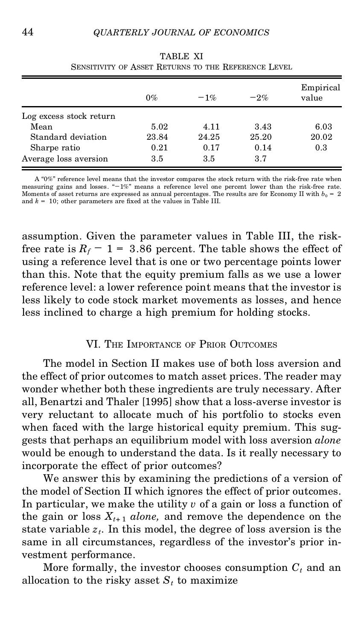|                         | $0\%$ | $-1\%$ | $-2%$ | Empirical<br>value |
|-------------------------|-------|--------|-------|--------------------|
| Log excess stock return |       |        |       |                    |
| Mean                    | 5.02  | 4.11   | 3.43  | 6.03               |
| Standard deviation      | 23.84 | 24.25  | 25.20 | 20.02              |
| Sharpe ratio            | 0.21  | 0.17   | 0.14  | 0.3                |
| Average loss aversion   | 3.5   | 3.5    | 3.7   |                    |

TABLE XI SENSITIVITY OF ASSET RETURNS TO THE REFERENCE LEVEL

A "0%" reference level means that the investor compares the stock return with the risk-free rate when measuring gains and losses. "-1%" means a reference level one percent lower than the risk-free rate. Moments of asset returns are expressed as annual percentages. The results are for Economy II with  $b<sub>0</sub> = 2$ and  $k = 10$ ; other parameters are fixed at the values in Table III.

assumption. Given the parameter values in Table III, the riskfree rate is  $R_f$  – 1 = 3.86 percent. The table shows the effect of using a reference level that is one or two percentage points lower than this. Note that the equity premium falls as we use a lower reference level: a lower reference point means that the investor is less likely to code stock market movements as losses, and hence less inclined to charge a high premium for holding stocks.

#### VI. THE IMPORTANCE OF PRIOR OUTCOMES

The model in Section II makes use of both loss aversion and the effect of prior outcomes to match asset prices. The reader may wonder whether both these ingredients are truly necessary. After all, Benartzi and Thaler [1995] show that a loss-averse investor is very reluctant to allocate much of his portfolio to stocks even when faced with the large historical equity premium. This sug gests that perhaps an equilibrium model with loss aversion *alone* would be enough to understand the data. Is it really necessary to incorporate the effect of prior outcomes?

We answer this by examining the predictions of a version of the model of Section II which ignores the effect of prior outcomes. In particular, we make the utility *v* of a gain or loss a function of the gain or loss  $X_{t+1}$  *alone*, and remove the dependence on the state variable  $z_t$ . In this model, the degree of loss aversion is the same in all circumstances, regardless of the investor's prior in vestment performance.

More formally, the investor chooses consumption  $C_t$  and an allocation to the risky asset  $S_t$  to maximize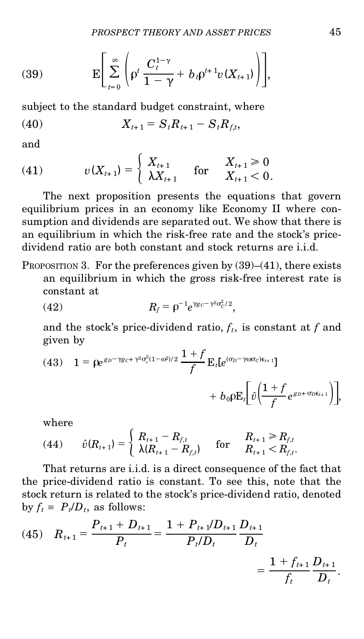(39) 
$$
E\left[\sum_{t=0}^{\infty}\left(\rho^{t}\frac{C_{t}^{1-\gamma}}{1-\gamma}+b_{t}\rho^{t+1}v(X_{t+1})\right)\right],
$$

subject to the standard budget constraint, where

$$
(40) \t\t X_{t+1} = S_t R_{t+1} - S_t R_{f,t},
$$

and

(41) 
$$
v(X_{t+1}) = \begin{cases} X_{t+1} & \text{for} \quad X_{t+1} \geq 0 \\ \lambda X_{t+1} & \text{for} \quad X_{t+1} < 0. \end{cases}
$$

The next proposition presents the equations that govern equilibrium prices in an economy like Economy II where con sumption and dividends are separated out. We show that there is an equilibrium in which the risk-free rate and the stock's price dividend ratio are both constant and stock returns are i.i.d.

PROPOSITION 3. For the preferences given by  $(39)–(41)$ , there exists an equilibrium in which the gross risk-free interest rate is constant at

(42) 
$$
R_f = \rho^{-1} e^{\gamma g_c - \gamma^2 \sigma_c^2/2},
$$

and the stock's price-dividend ratio,  $f_t$ , is constant at  $f$  and given by

$$
(43) \quad 1 = \rho e^{g_D - \gamma g_{C^+} \gamma^2 \sigma_c^2 (1 - \omega^2)/2} \frac{1 + f}{f} \mathbf{E}_t [e^{(\sigma_D - \gamma \omega \sigma_C) \epsilon_{t+1}}] + b_0 \rho \mathbf{E}_t \bigg[ \hat{v} \bigg( \frac{1 + f}{f} e^{g_D + \sigma_D \epsilon_{t+1}} \bigg) \bigg],
$$

where

(44) 
$$
\hat{v}(R_{t+1}) = \begin{cases} R_{t+1} - R_{f,t} & \text{for} \quad R_{t+1} \ge R_{f,t} \\ \lambda(R_{t+1} - R_{f,t}) & \text{for} \quad R_{t+1} < R_{f,t}. \end{cases}
$$

That returns are i.i.d. is a direct consequence of the fact that the price-dividend ratio is constant. To see this, note that the stock return is related to the stock's price-dividend ratio, denoted by  $f_t = P_t/D_t$ , as follows:

(45) 
$$
R_{t+1} = \frac{P_{t+1} + D_{t+1}}{P_t} = \frac{1 + P_{t+1}/D_{t+1}}{P_t/D_t} \frac{D_{t+1}}{D_t} = \frac{1 + f_{t+1}}{f_t} \frac{D_{t+1}}{D_t}.
$$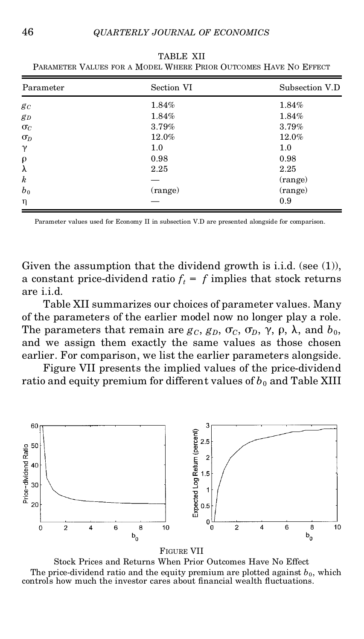| Parameter        | Section VI | Subsection V.D |
|------------------|------------|----------------|
| gc               | 1.84%      | 1.84%          |
| $g_D$            | 1.84%      | 1.84%          |
| $\sigma_C$       | 3.79%      | 3.79%          |
| $\sigma_D$       | 12.0%      | 12.0%          |
| γ                | 1.0        | 1.0            |
| $\rho$           | 0.98       | 0.98           |
| λ                | 2.25       | 2.25           |
| $\boldsymbol{k}$ |            | (range)        |
| $b_0$            | (range)    | (range)        |
| η                |            | 0.9            |

TABLE XII PARAMETER VALUES FOR A MODEL WHERE PRIOR OUTCOMES HAVE NO EFFECT

Parameter values used for Economy II in subsection V.D are presented alongside for comparison.

Given the assumption that the dividend growth is i.i.d. (see (1)), a constant price-dividend ratio  $f_t = f$  implies that stock returns are i.i.d.

Table XII summarizes our choices of parameter values. Many of the parameters of the earlier model now no longer play a role. The parameters that remain are  $g_c$ ,  $g_p$ ,  $\sigma_c$ ,  $\sigma_p$ ,  $\gamma$ ,  $\rho$ ,  $\lambda$ , and  $b_0$ , and we assign them exactly the same values as those chosen earlier. For comparison, we list the earlier parameters alongside.

Figure VII presents the implied values of the price-dividend ratio and equity premium for different values of  $b_0$  and Table XIII



FIGURE VII

Stock Prices and Returns When Prior Outcomes Have No Effect The price-dividend ratio and the equity premium are plotted against  $b<sub>0</sub>$ , which controls how much the investor cares about financial wealth fluctuations.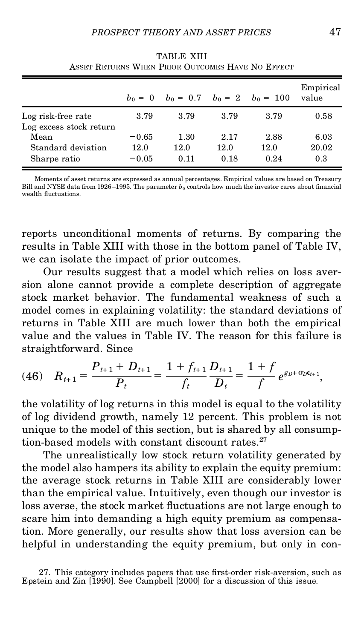|                                               |         | $b_0 = 0$ $b_0 = 0.7$ $b_0 = 2$ $b_0 = 100$ |      |      | Empirical<br>value |
|-----------------------------------------------|---------|---------------------------------------------|------|------|--------------------|
| Log risk-free rate<br>Log excess stock return | 3.79    | 3.79                                        | 3.79 | 3.79 | 0.58               |
| Mean                                          | $-0.65$ | 1.30                                        | 2.17 | 2.88 | 6.03               |
| Standard deviation                            | 12.0    | 12.0                                        | 12.0 | 12.0 | 20.02              |
| Sharpe ratio                                  | $-0.05$ | 0.11                                        | 0.18 | 0.24 | 0.3                |

TABLE XIII ASSET RETURNS WHEN PRIOR OUTCOMES HAVE NO EFFECT

Moments of asset returns are expressed as annual percentages. Empirical values are based on Treasury Bill and NYSE data from 1926–1995. The parameter  $b_0$  controls how much the investor cares about financial wealth fluctuations.

reports unconditional moments of returns. By comparing the results in Table XIII with those in the bottom panel of Table IV, we can isolate the impact of prior outcomes.

Our results suggest that a model which relies on loss aver sion alone cannot provide a complete description of aggregate stock market behavior. The fundamental weakness of such a model comes in explaining volatility: the standard deviations of returns in Table XIII are much lower than both the empirical value and the values in Table IV. The reason for this failure is straightforward. Since

(46) 
$$
R_{t+1} = \frac{P_{t+1} + D_{t+1}}{P_t} = \frac{1 + f_{t+1}}{f_t} \frac{D_{t+1}}{D_t} = \frac{1 + f}{f} e^{g_D + \sigma_D \epsilon_{t+1}},
$$

the volatility of log returns in this model is equal to the volatility of log dividend growth, namely 12 percent. This problem is not unique to the model of this section, but is shared by all consumption-based models with constant discount rates.<sup>27</sup>

The unrealistically low stock return volatility generated by the model also hampers its ability to explain the equity premium: the average stock returns in Table XIII are considerably lower than the empirical value. Intuitively, even though our investor is loss averse, the stock market fluctuations are not large enough to scare him into demanding a high equity premium as compensation. More generally, our results show that loss aversion can be helpful in understanding the equity premium, but only in con-

27. This category includes papers that use first-order risk-aversion, such as Epstein and Zin [1990]. See Campbell [2000] for a discussion of this issue.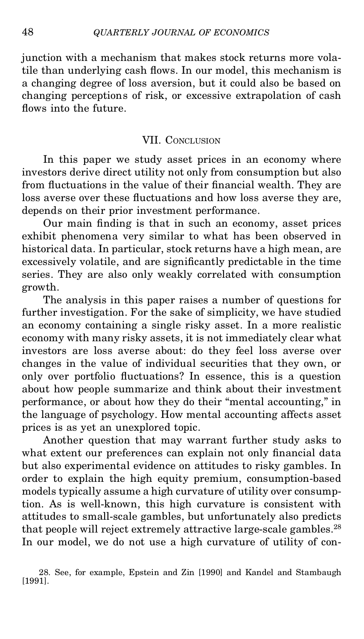junction with a mechanism that makes stock returns more volatile than underlying cash flows. In our model, this mechanism is a changing degree of loss aversion, but it could also be based on changing perceptions of risk, or excessive extrapolation of cash flows into the future.

#### VII. CONCLUSION

In this paper we study asset prices in an economy where investors derive direct utility not only from consumption but also from fluctuations in the value of their financial wealth. They are loss averse over these fluctuations and how loss averse they are, depends on their prior investment performance.

Our main finding is that in such an economy, asset prices exhibit phenomena very similar to what has been observed in historical data. In particular, stock returns have a high mean, are excessively volatile, and are signicantly predictable in the time series. They are also only weakly correlated with consumption growth.

The analysis in this paper raises a number of questions for further investigation. For the sake of simplicity, we have studied an economy containing a single risky asset. In a more realistic economy with many risky assets, it is not immediately clear what investors are loss averse about: do they feel loss averse over changes in the value of individual securities that they own, or only over portfolio fluctuations? In essence, this is a question about how people summarize and think about their investment performance, or about how they do their "mental accounting," in the language of psychology. How mental accounting affects asset prices is as yet an unexplored topic.

Another question that may warrant further study asks to what extent our preferences can explain not only financial data but also experimental evidence on attitudes to risky gambles. In order to explain the high equity premium, consumption-based models typically assume a high curvature of utility over consumption. As is well-known, this high curvature is consistent with attitudes to small-scale gambles, but unfortunately also predicts that people will reject extremely attractive large-scale gambles.<sup>28</sup> In our model, we do not use a high curvature of utility of con-

<sup>28.</sup> See, for example, Epstein and Zin [1990] and Kandel and Stambaugh  $[1991]$ .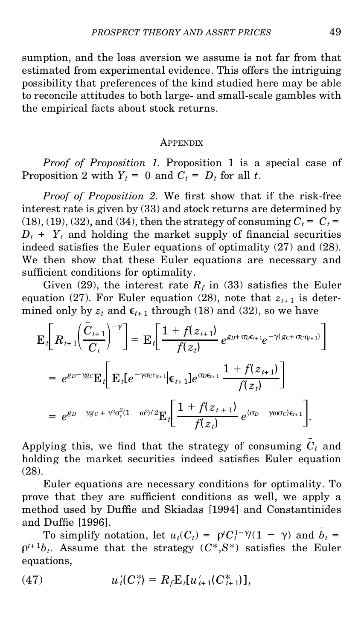sumption, and the loss aversion we assume is not far from that estimated from experimental evidence. This offers the intriguing possibility that preferences of the kind studied here may be able to reconcile attitudes to both large- and small-scale gambles with the empirical facts about stock returns.

#### **APPENDIX**

*Proof of Proposition 1.* Proposition 1 is a special case of Proposition 2 with  $Y_t = 0$  and  $C_t = D_t$  for all *t*.

*Proof of Proposition 2.* We first show that if the risk-free interest rate is given by (33) and stock returns are determined by (18), (19), (32), and (34), then the strategy of consuming  $C_t = \overline{C_t} =$  $D_t$  +  $Y_t$  and holding the market supply of financial securities indeed satisfies the Euler equations of optimality  $(27)$  and  $(28)$ . We then show that these Euler equations are necessary and sufficient conditions for optimality.

Given (29), the interest rate  $R_f$  in (33) satisfies the Euler equation (27). For Euler equation (28), note that  $z_{t+1}$  is determined only by  $z_t$  and  $\epsilon_{t+1}$  through (18) and (32), so we have

$$
\mathbf{E}_{t}\bigg[R_{t+1}\bigg(\frac{\bar{C}_{t+1}}{C_{t}}\bigg)^{-\gamma}\bigg] = \mathbf{E}_{t}\bigg[\frac{1+f(z_{t+1})}{f(z_{t})}e^{g_{D}+\sigma_{D}\epsilon_{t+1}}e^{-\gamma(g_{C}+\sigma_{C}\eta_{t+1})}\bigg]
$$
\n
$$
= e^{g_{D}-\gamma g_{C}}\mathbf{E}_{t}\bigg[\mathbf{E}_{t}[e^{-\gamma\sigma_{C}\eta_{t+1}}|\epsilon_{t+1}]e^{\sigma_{D}\epsilon_{t+1}}\frac{1+f(z_{t+1})}{f(z_{t})}\bigg]
$$
\n
$$
= e^{g_{D}-\gamma g_{C}+\gamma^{2}\sigma_{c}^{2}(1-\omega^{2})/2}\mathbf{E}_{t}\bigg[\frac{1+f(z_{t+1})}{f(z_{t})}e^{(\sigma_{D}-\gamma\omega\sigma_{C})\epsilon_{t+1}}\bigg].
$$

Applying this, we find that the strategy of consuming  $\bar{C}_t$  and holding the market securities indeed satisfies Euler equation (28).

Euler equations are necessary conditions for optimality. To prove that they are sufficient conditions as well, we apply a method used by Duffie and Skiadas [1994] and Constantinides and Duffie [1996].

To simplify notation, let  $u_t(C_t) = \rho^t C_t^{1-\gamma}/(1-\gamma)$  and  $\bar{b}_t =$  $\rho^{t+1}b_t$ . Assume that the strategy  $(C^*,S^*)$  satisfies the Euler equations,

(47) 
$$
u'_{t}(C_{t}^{*}) = R_{f} \mathbf{E}_{t}[u'_{t+1}(C_{t+1}^{*})],
$$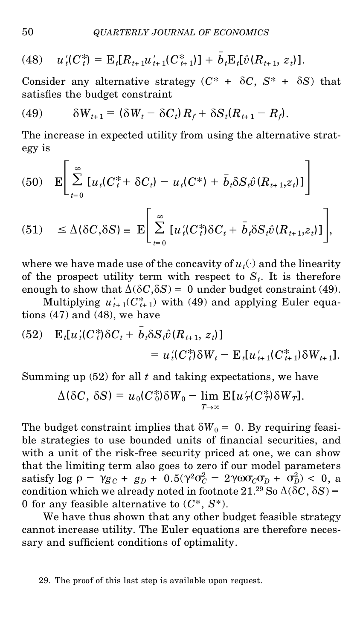(48) 
$$
u'_{t}(C_{t}^{*}) = \mathbb{E}_{t}[R_{t+1}u'_{t+1}(C_{t+1}^{*})] + \bar{b}_{t}\mathbb{E}_{t}[\hat{v}(R_{t+1}, z_{t})].
$$

Consider any alternative strategy  $(C^* + \delta C, S^* + \delta S)$  that satisfies the budget constraint

$$
(49) \qquad \delta W_{t+1} = (\delta W_t - \delta C_t) R_f + \delta S_t (R_{t+1} - R_f).
$$

The increase in expected utility from using the alternative strat egy is

(50) 
$$
E\left[\sum_{t=0}^{\infty} [u_t(C_t^* + \delta C_t) - u_t(C^*) + \bar{b}_t \delta S_t \hat{v}(R_{t+1}, z_t)]\right]
$$

$$
(51) \leq \Delta(\delta C, \delta S) = \mathbf{E} \Bigg[ \sum_{t=0}^{\infty} [u_t'(C_t^*) \delta C_t + \bar{b}_t \delta S_t \hat{v}(R_{t+1}, z_t)] \Bigg],
$$

where we have made use of the concavity of  $u_t(\cdot)$  and the linearity of the prospect utility term with respect to  $S_t$ . It is therefore enough to show that  $\Delta(\delta C, \delta S) = 0$  under budget constraint (49).

Multiplying  $u'_{t+1}(C^*_{t+1})$  with (49) and applying Euler equations (47) and (48), we have

(52) 
$$
E_t[u_t'(C_t^*)\delta C_t + \bar{b}_t \delta S_t \hat{v}(R_{t+1}, z_t)]
$$
  
=  $u_t'(C_t^*)\delta W_t - E_t[u_{t+1}'(C_{t+1}^*)\delta W_{t+1}].$ 

Summing up (52) for all *t* and taking expectations, we have

$$
\Delta(\delta C, \delta S) = u_0(C_0^*) \delta W_0 - \lim_{T \to \infty} E[u_T'(C_T^*) \delta W_T].
$$

The budget constraint implies that  $\delta W_0 = 0$ . By requiring feasible strategies to use bounded units of financial securities, and with a unit of the risk-free security priced at one, we can show that the limiting term also goes to zero if our model parameters satisfy  $\log \rho - \gamma g_C + g_D + 0.5(\gamma^2 \sigma_C^2 - 2\gamma \omega \sigma_C \sigma_D + \sigma_D^2) < 0$ , a condition which we already noted in footnote  $21.^{29}$  So  $\Delta$ ( $\delta C$ ,  $\delta S$ ) = 0 for any feasible alternative to (*C*\*, *S*\*).

We have thus shown that any other budget feasible strategy cannot increase utility. The Euler equations are therefore neces sary and sufficient conditions of optimality.

29. The proof of this last step is available upon request.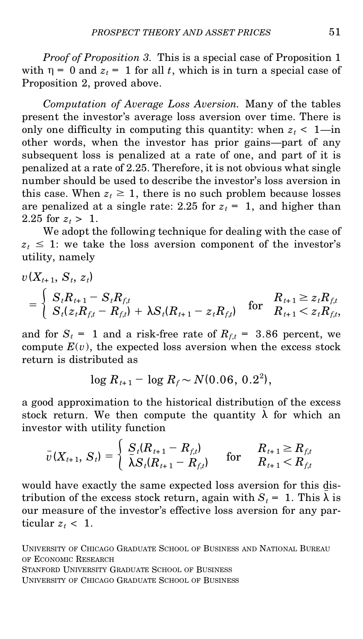*Proof of Proposition 3.* This is a special case of Proposition 1 with  $\eta = 0$  and  $z_t = 1$  for all *t*, which is in turn a special case of Proposition 2, proved above.

*Computation of Average Loss Aversion.* Many of the tables present the investor's average loss aversion over time. There is only one difficulty in computing this quantity: when  $z_t < 1$ —in other words, when the investor has prior gains—part of any subsequent loss is penalized at a rate of one, and part of it is penalized at a rate of 2.25. Therefore, it is not obvious what single number should be used to describe the investor's loss aversion in this case. When  $z_t \geq 1$ , there is no such problem because losses are penalized at a single rate: 2.25 for  $z<sub>t</sub> = 1$ , and higher than 2.25 for  $z_t > 1$ .

We adopt the following technique for dealing with the case of  $z_t \leq 1$ : we take the loss aversion component of the investor's utility, namely

$$
v(X_{t+1}, S_t, z_t)
$$
  
= 
$$
\begin{cases} S_t R_{t+1} - S_t R_{f,t} \\ S_t (z_t R_{f,t} - R_{f,t}) + \lambda S_t (R_{t+1} - z_t R_{f,t}) \end{cases}
$$
 for 
$$
\begin{cases} R_{t+1} \ge z_t R_{f,t} \\ R_{t+1} < z_t R_{f,t}, \end{cases}
$$

and for  $S_t = 1$  and a risk-free rate of  $R_{t,t} = 3.86$  percent, we compute  $E(v)$ , the expected loss aversion when the excess stock return is distributed as

$$
\log R_{t+1} - \log R_f \sim N(0.06, 0.2^2),
$$

a good approximation to the historical distribution of the excess stock return. We then compute the quantity  $\bar{\lambda}$  for which an investor with utility function

$$
\bar{v}(X_{t+1}, S_t) = \begin{cases} S_t(R_{t+1} - R_{f,t}) & \text{for} \quad R_{t+1} \ge R_{f,t} \\ \bar{\lambda} S_t(R_{t+1} - R_{f,t}) & \text{for} \quad R_{t+1} < R_{f,t} \end{cases}
$$

would have exactly the same expected loss aversion for this distribution of the excess stock return, again with  $S_t = 1$ . This  $\bar{\lambda}$  is our measure of the investor's effective loss aversion for any particular  $z_t < 1$ .

UNIVERSITY OF CHICAGO GRADUATE SCHOOL OF BUSINESS AND NATIONAL BUREAU OF ECONOMIC RESEARCH STANFORD UNIVERSITY GRADUATE SCHOOL OF BUSINESS UNIVERSITY OF CHICAGO GRADUATE SCHOOL OF BUSINESS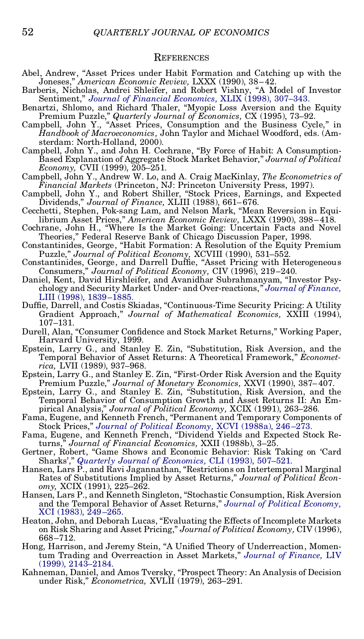#### **REFERENCES**

- Abel, Andrew, "Asset Prices under Habit Formation and Catching up with the Joneses," American Economic Review, LXXX (1990), 38–42.
- Barberis, Nicholas, Andrei Shleifer, and Robert Vishny, "A Model of Investor Sentiment," *Journal of Financial [Economics,](http://ernesto.catchword.com/nw=1/rpsv/cgi-bin/linker?ext=a&reqidx=/0304-405X^281998^2949L.307[aid=894402])* XLIX (1998), 307–343.
- Benartzi, Shlomo, and Richard Thaler, "Myopic Loss Aversion and the Equity Premium Puzzle," *Quarterly Journal of Economics,* CX (1995), 73–92. Campbell, John Y., "Asset Prices, Consumption and the Business Cycle," in
- *Handbook of Macroeconomics,* John Taylor and Michael Woodford, eds. (Am sterdam: North-Holland, 2000).
- Campbell, John Y., and John H. Cochrane, "By Force of Habit: <sup>A</sup> Consumption- Based Explanation of Aggregate Stock Market Behavior," *Journal of Political Economy,* CVII (1999), 205–251.
- Campbell, John Y., Andrew W.Lo, and A. Craig MacKinlay, *The Econometrics of*
- Campbell, John Y., and Robert Shiller, "Stock Prices, Earnings, and Expected Dividends," *Journal of Finance,* XLIII (1988), 661– 676.
- Cecchetti, Stephen, Pok-sang Lam, and Nelson Mark, "Mean Reversion in Equi-
- Cochrane, John H., "Where Is the Market Going: Uncertain Facts and Novel Theories," Federal Reserve Bank of Chicago Discussion Paper, 1998.
- Constantinides, George, "Habit Formation: A Resolution of the Equity Premium
- Constantinides, George, and Darrell Duffie, "Asset Pricing with Heterogeneous Consumers," *Journal of Political Economy,* CIV (1996), 219–240.
- Daniel, Kent, David Hirshleifer, and Avanidhar Subrahmanyam, "Investor Psy chology and Security Market Under- and Over-reactions," *Journal of [Finance,](http://ernesto.catchword.com/nw=1/rpsv/cgi-bin/linker?ext=a&reqidx=/0022-1082^281998^2953L.1839[aid=894407])*
- Duffie, Darrell, and Costis Skiadas, "Continuous-Time Security Pricing: A Utility Gradient Approach," *Journal of Mathematical Economics,* XXIII (1994), 107–131.
- Durell, Alan, "Consumer Condence and Stock Market Returns," Working Paper, Harvard University, 1999.
- Epstein, Larry G., and Stanley E. Zin, "Substitution, Risk Aversion, and the Temporal Behavior of Asset Returns: A Theoretical Framework," *Economet-*
- *rica,* LVII (1989), 937–968. Epstein, Larry G., and Stanley E. Zin, "First-Order Risk Aversion and the Equity Premium Puzzle," *Journal of Monetary Economics,* XXVI (1990), 387– 407.
- Epstein, Larry G., and Stanley E. Zin, "Substitution, Risk Aversion, and the Temporal Behavior of Consumption Growth and Asset Returns II: An Em- pirical Analysis," *Journal of Political Economy,* XCIX (1991), 263–286.
- Fama, Eugene, and Kenneth French, "Permanent and Temporary Components of Stock Prices," *Journal of Political [Economy,](http://ernesto.catchword.com/nw=1/rpsv/cgi-bin/linker?ext=a&reqidx=/0022-3808^281988^2996L.246[aid=894410])* XCVI (1988a), 246 –273.
- Fama, Eugene, and Kenneth French, "Dividend Yields and Expected Stock Re- turns," *Journal of Financial Economics,* XXII (1988b), 3–25.
- Gertner, Robert, "Game Shows and Economic Behavior: Risk Taking on 'Card Sharks'," *Quarterly Journal of [Economics,](http://ernesto.catchword.com/nw=1/rpsv/cgi-bin/linker?ext=a&reqidx=/0033-5533^281993^29151L.507[aid=894411])* CLI (1993), 507–521.
- Hansen, Lars P., and Ravi Jagannathan, "Restrictions on Intertemporal Marginal Rates of Substitutions Implied by Asset Returns," *Journal of Political Econ omy,* XCIX (1991), 225–262.
- Hansen, Lars P., and Kenneth Singleton, "Stochastic Consumption, Risk Aversion and the Temporal Behavior of Asset Returns," *Journal of Political [Economy,](http://ernesto.catchword.com/nw=1/rpsv/cgi-bin/linker?ext=a&reqidx=/0022-3808^281983^2991L.249[aid=228546])* XCI [\(1983\),](http://ernesto.catchword.com/nw=1/rpsv/cgi-bin/linker?ext=a&reqidx=/0022-3808^281983^2991L.249[aid=228546]) <sup>249</sup> –265.
- Heaton, John, and Deborah Lucas, "Evaluating the Effects of Incomplete Markets on Risk Sharing and Asset Pricing," *Journal of Political Economy,* CIV (1996), 668–712.
- Hong, Harrison, and Jeremy Stein, "A Unified Theory of Underreaction, Momentum Trading and Overreaction in Asset Markets," *Journal of [Finance,](http://ernesto.catchword.com/nw=1/rpsv/cgi-bin/linker?ext=a&reqidx=/0022-1082^281999^2954L.2143[aid=894414])* LIV
- Kahneman, Daniel, and Amos Tversky, "Prospect Theory: An Analysis of Decision under Risk," *Econometrica,* XVLII (1979), 263–291.